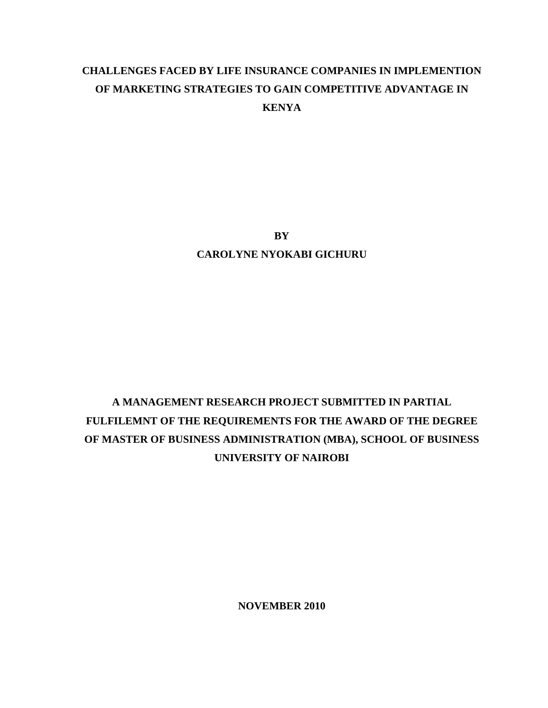## **CHALLENGES FACED BY LIFE INSURANCE COMPANIES IN IMPLEMENTION OF MARKETING STRATEGIES TO GAIN COMPETITIVE ADVANTAGE IN KENYA**

**BY CAROLYNE NYOKABI GICHURU** 

# **A MANAGEMENT RESEARCH PROJECT SUBMITTED IN PARTIAL FULFILEMNT OF THE REQUIREMENTS FOR THE AWARD OF THE DEGREE OF MASTER OF BUSINESS ADMINISTRATION (MBA), SCHOOL OF BUSINESS UNIVERSITY OF NAIROBI**

**NOVEMBER 2010**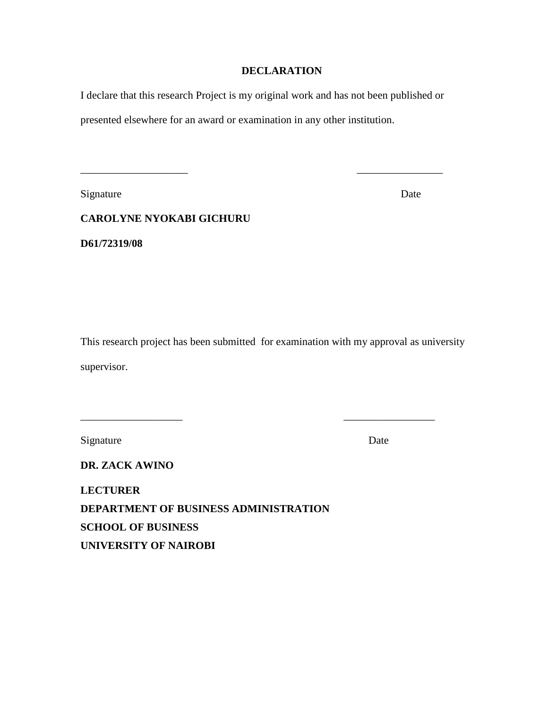### **DECLARATION**

I declare that this research Project is my original work and has not been published or

presented elsewhere for an award or examination in any other institution.

Signature Date

**CAROLYNE NYOKABI GICHURU** 

\_\_\_\_\_\_\_\_\_\_\_\_\_\_\_\_\_\_\_\_ \_\_\_\_\_\_\_\_\_\_\_\_\_\_\_\_

**D61/72319/08** 

This research project has been submitted for examination with my approval as university supervisor.

Signature Date

**DR. ZACK AWINO** 

\_\_\_\_\_\_\_\_\_\_\_\_\_\_\_\_\_\_\_ \_\_\_\_\_\_\_\_\_\_\_\_\_\_\_\_\_

**LECTURER DEPARTMENT OF BUSINESS ADMINISTRATION SCHOOL OF BUSINESS UNIVERSITY OF NAIROBI**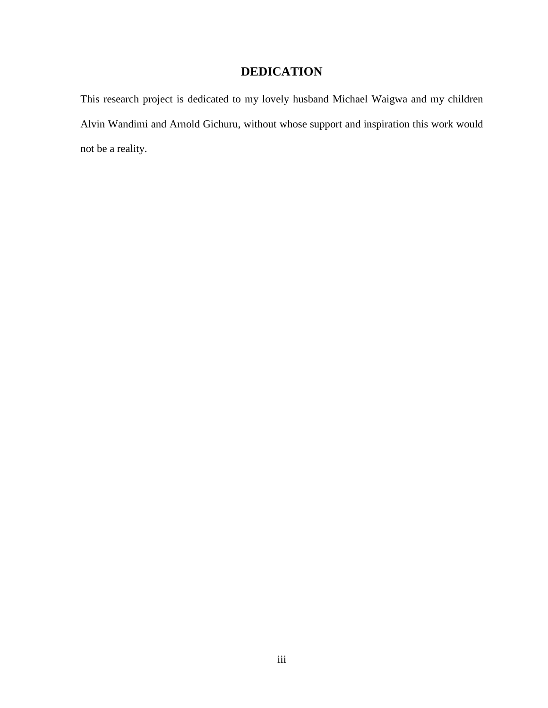## **DEDICATION**

This research project is dedicated to my lovely husband Michael Waigwa and my children Alvin Wandimi and Arnold Gichuru, without whose support and inspiration this work would not be a reality.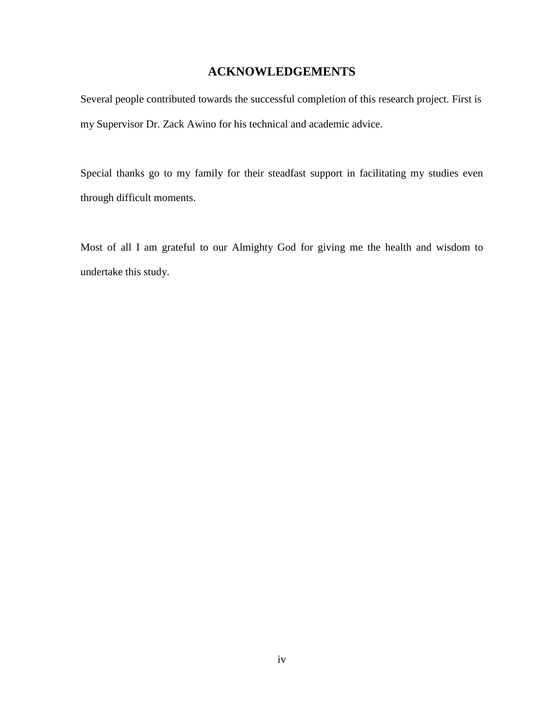### **ACKNOWLEDGEMENTS**

Several people contributed towards the successful completion of this research project. First is my Supervisor Dr. Zack Awino for his technical and academic advice.

Special thanks go to my family for their steadfast support in facilitating my studies even through difficult moments.

Most of all I am grateful to our Almighty God for giving me the health and wisdom to undertake this study.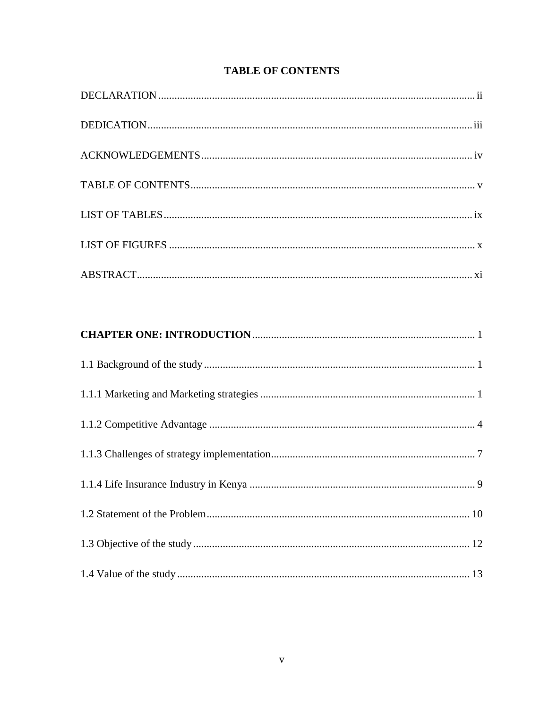| <b>TABLE OF CONTENTS</b> |  |
|--------------------------|--|
|--------------------------|--|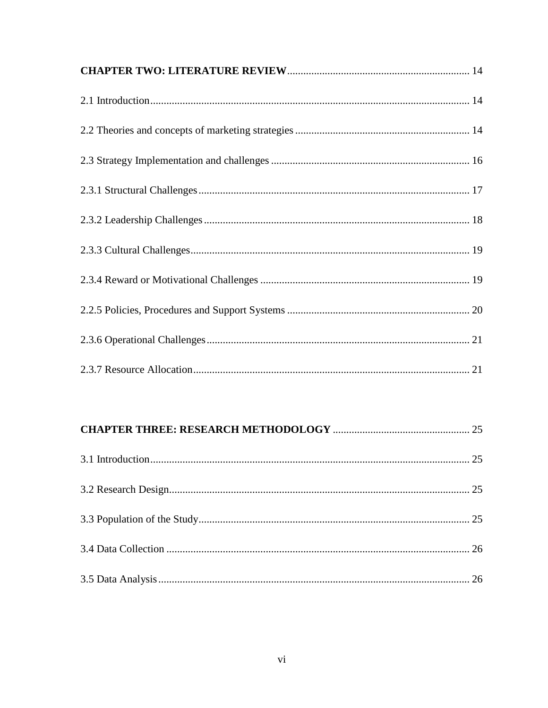##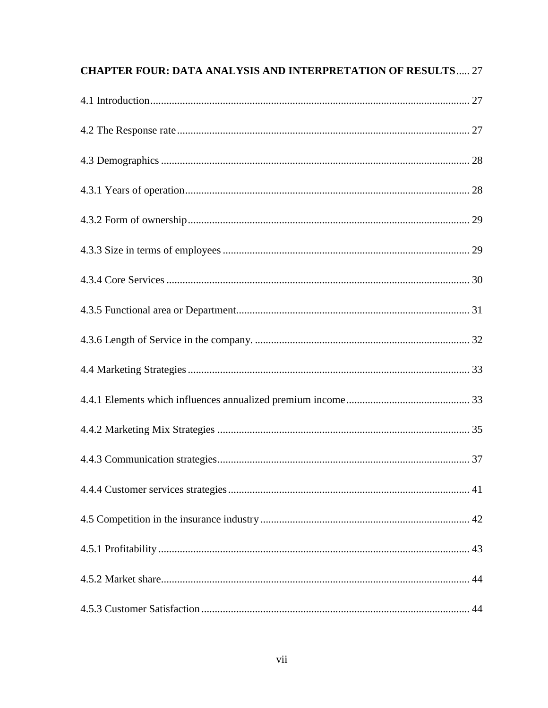| <b>CHAPTER FOUR: DATA ANALYSIS AND INTERPRETATION OF RESULTS 27</b> |  |
|---------------------------------------------------------------------|--|
|                                                                     |  |
|                                                                     |  |
|                                                                     |  |
|                                                                     |  |
|                                                                     |  |
|                                                                     |  |
|                                                                     |  |
|                                                                     |  |
|                                                                     |  |
|                                                                     |  |
|                                                                     |  |
|                                                                     |  |
|                                                                     |  |
|                                                                     |  |
|                                                                     |  |
|                                                                     |  |
|                                                                     |  |
|                                                                     |  |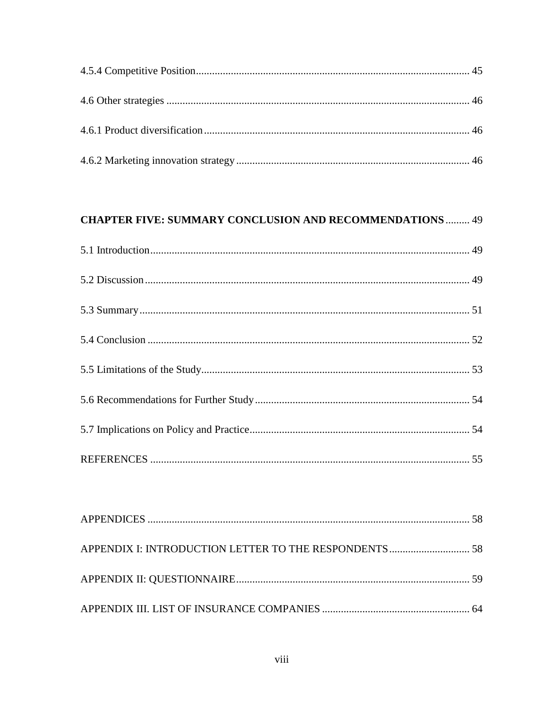## **CHAPTER FIVE: SUMMARY CONCLUSION AND RECOMMENDATIONS ......... 49**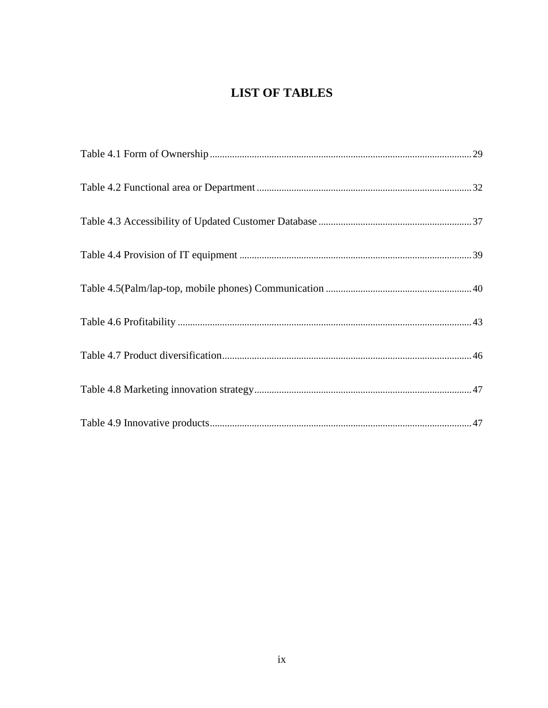## **LIST OF TABLES**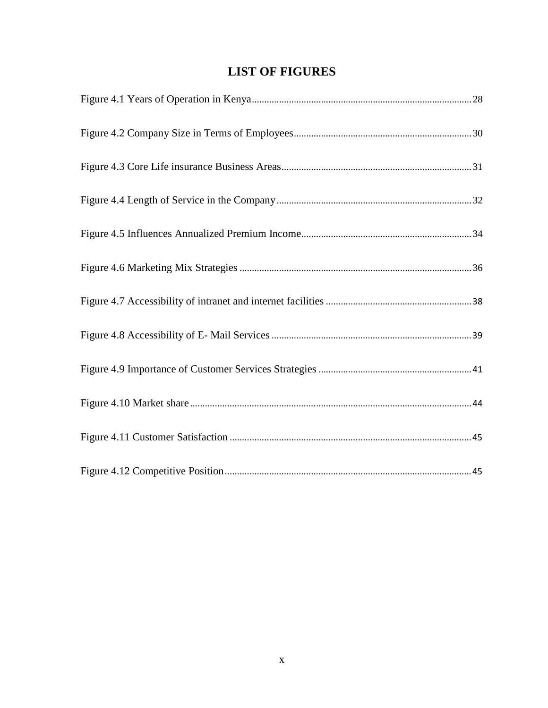## **LIST OF FIGURES**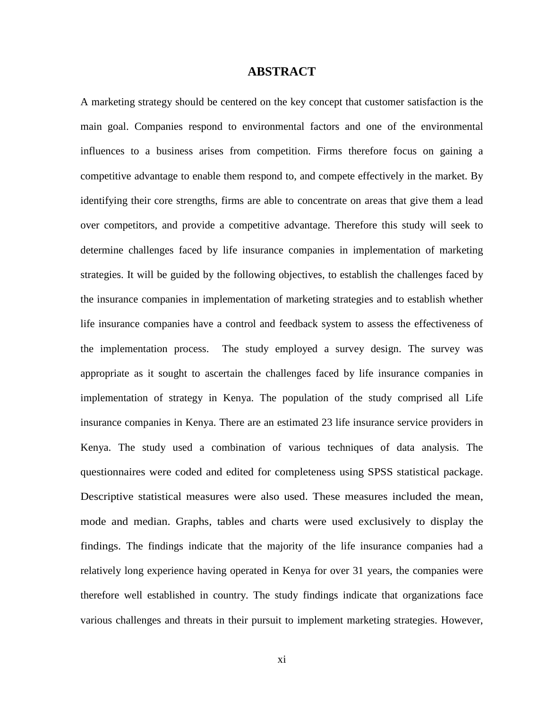### **ABSTRACT**

A marketing strategy should be centered on the key concept that customer satisfaction is the main goal. Companies respond to environmental factors and one of the environmental influences to a business arises from competition. Firms therefore focus on gaining a competitive advantage to enable them respond to, and compete effectively in the market. By identifying their core strengths, firms are able to concentrate on areas that give them a lead over competitors, and provide a competitive advantage. Therefore this study will seek to determine challenges faced by life insurance companies in implementation of marketing strategies. It will be guided by the following objectives, to establish the challenges faced by the insurance companies in implementation of marketing strategies and to establish whether life insurance companies have a control and feedback system to assess the effectiveness of the implementation process. The study employed a survey design. The survey was appropriate as it sought to ascertain the challenges faced by life insurance companies in implementation of strategy in Kenya. The population of the study comprised all Life insurance companies in Kenya. There are an estimated 23 life insurance service providers in Kenya. The study used a combination of various techniques of data analysis. The questionnaires were coded and edited for completeness using SPSS statistical package. Descriptive statistical measures were also used. These measures included the mean, mode and median. Graphs, tables and charts were used exclusively to display the findings. The findings indicate that the majority of the life insurance companies had a relatively long experience having operated in Kenya for over 31 years, the companies were therefore well established in country. The study findings indicate that organizations face various challenges and threats in their pursuit to implement marketing strategies. However,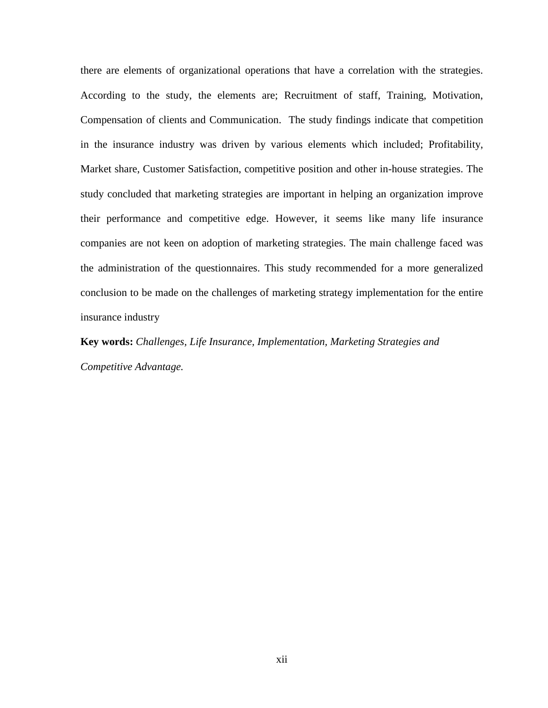there are elements of organizational operations that have a correlation with the strategies. According to the study, the elements are; Recruitment of staff, Training, Motivation, Compensation of clients and Communication.The study findings indicate that competition in the insurance industry was driven by various elements which included; Profitability, Market share, Customer Satisfaction, competitive position and other in-house strategies. The study concluded that marketing strategies are important in helping an organization improve their performance and competitive edge. However, it seems like many life insurance companies are not keen on adoption of marketing strategies. The main challenge faced was the administration of the questionnaires. This study recommended for a more generalized conclusion to be made on the challenges of marketing strategy implementation for the entire insurance industry

**Key words:** *Challenges, Life Insurance, Implementation, Marketing Strategies and Competitive Advantage.*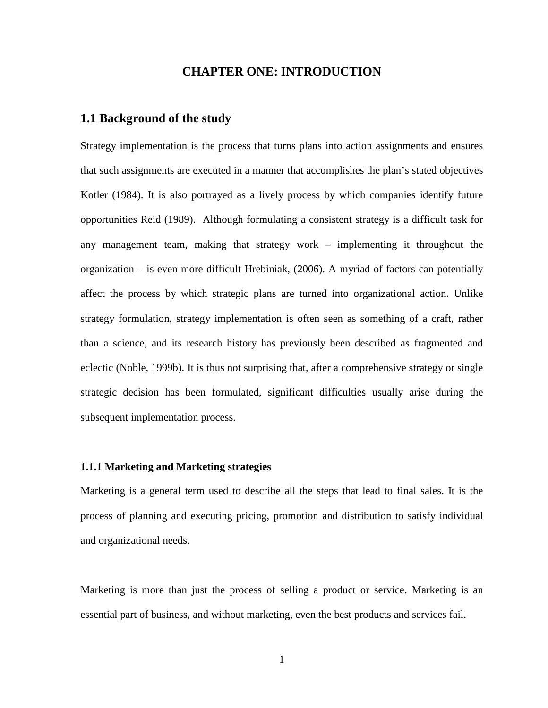### **CHAPTER ONE: INTRODUCTION**

### **1.1 Background of the study**

Strategy implementation is the process that turns plans into action assignments and ensures that such assignments are executed in a manner that accomplishes the plan's stated objectives Kotler (1984). It is also portrayed as a lively process by which companies identify future opportunities Reid (1989). Although formulating a consistent strategy is a difficult task for any management team, making that strategy work – implementing it throughout the organization – is even more difficult Hrebiniak, (2006). A myriad of factors can potentially affect the process by which strategic plans are turned into organizational action. Unlike strategy formulation, strategy implementation is often seen as something of a craft, rather than a science, and its research history has previously been described as fragmented and eclectic (Noble, 1999b). It is thus not surprising that, after a comprehensive strategy or single strategic decision has been formulated, significant difficulties usually arise during the subsequent implementation process.

### **1.1.1 Marketing and Marketing strategies**

Marketing is a general term used to describe all the steps that lead to final sales. It is the process of planning and executing pricing, promotion and distribution to satisfy individual and organizational needs.

Marketing is more than just the process of selling a product or service. Marketing is an essential part of business, and without marketing, even the best products and services fail.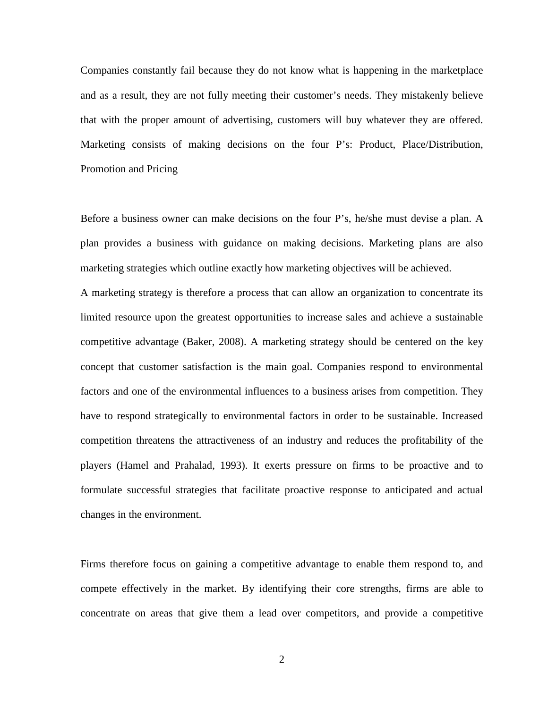Companies constantly fail because they do not know what is happening in the marketplace and as a result, they are not fully meeting their customer's needs. They mistakenly believe that with the proper amount of advertising, customers will buy whatever they are offered. Marketing consists of making decisions on the four P's: Product, Place/Distribution, Promotion and Pricing

Before a business owner can make decisions on the four P's, he/she must devise a plan. A plan provides a business with guidance on making decisions. Marketing plans are also marketing strategies which outline exactly how marketing objectives will be achieved.

A marketing strategy is therefore a process that can allow an organization to concentrate its limited resource upon the greatest opportunities to increase sales and achieve a sustainable competitive advantage (Baker, 2008). A marketing strategy should be centered on the key concept that customer satisfaction is the main goal. Companies respond to environmental factors and one of the environmental influences to a business arises from competition. They have to respond strategically to environmental factors in order to be sustainable. Increased competition threatens the attractiveness of an industry and reduces the profitability of the players (Hamel and Prahalad, 1993). It exerts pressure on firms to be proactive and to formulate successful strategies that facilitate proactive response to anticipated and actual changes in the environment.

Firms therefore focus on gaining a competitive advantage to enable them respond to, and compete effectively in the market. By identifying their core strengths, firms are able to concentrate on areas that give them a lead over competitors, and provide a competitive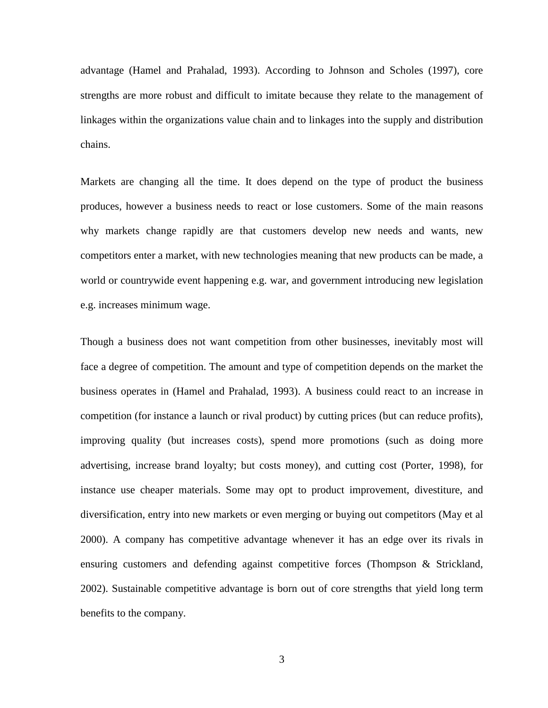advantage (Hamel and Prahalad, 1993). According to Johnson and Scholes (1997), core strengths are more robust and difficult to imitate because they relate to the management of linkages within the organizations value chain and to linkages into the supply and distribution chains.

Markets are changing all the time. It does depend on the type of product the business produces, however a business needs to react or lose customers. Some of the main reasons why markets change rapidly are that customers develop new needs and wants, new competitors enter a market, with new technologies meaning that new products can be made, a world or countrywide event happening e.g. war, and government introducing new legislation e.g. increases minimum wage.

Though a business does not want competition from other businesses, inevitably most will face a degree of competition. The amount and type of competition depends on the market the business operates in (Hamel and Prahalad, 1993). A business could react to an increase in competition (for instance a launch or rival product) by cutting prices (but can reduce profits), improving quality (but increases costs), spend more promotions (such as doing more advertising, increase brand loyalty; but costs money), and cutting cost (Porter, 1998), for instance use cheaper materials. Some may opt to product improvement, divestiture, and diversification, entry into new markets or even merging or buying out competitors (May et al 2000). A company has competitive advantage whenever it has an edge over its rivals in ensuring customers and defending against competitive forces (Thompson & Strickland, 2002). Sustainable competitive advantage is born out of core strengths that yield long term benefits to the company.

3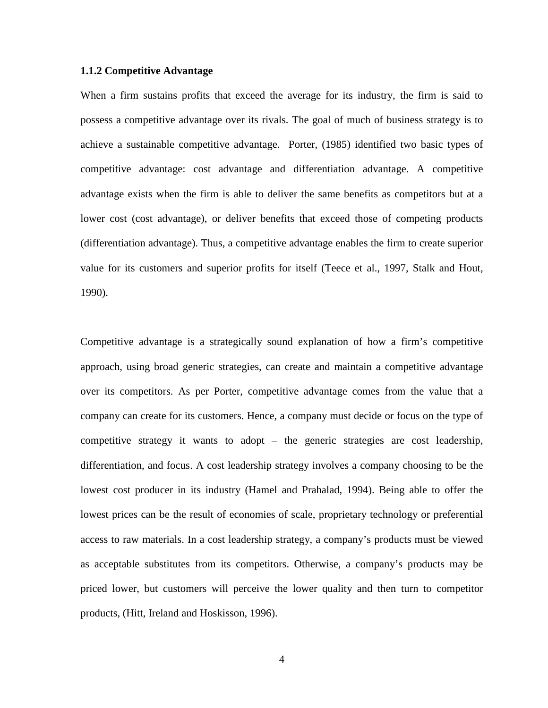### **1.1.2 Competitive Advantage**

When a firm sustains profits that exceed the average for its industry, the firm is said to possess a competitive advantage over its rivals. The goal of much of business strategy is to achieve a sustainable competitive advantage. Porter, (1985) identified two basic types of competitive advantage: cost advantage and differentiation advantage. A competitive advantage exists when the firm is able to deliver the same benefits as competitors but at a lower cost (cost advantage), or deliver benefits that exceed those of competing products (differentiation advantage). Thus, a competitive advantage enables the firm to create superior value for its customers and superior profits for itself (Teece et al., 1997, Stalk and Hout, 1990).

Competitive advantage is a strategically sound explanation of how a firm's competitive approach, using broad generic strategies, can create and maintain a competitive advantage over its competitors. As per Porter, competitive advantage comes from the value that a company can create for its customers. Hence, a company must decide or focus on the type of competitive strategy it wants to adopt – the generic strategies are cost leadership, differentiation, and focus. A cost leadership strategy involves a company choosing to be the lowest cost producer in its industry (Hamel and Prahalad, 1994). Being able to offer the lowest prices can be the result of economies of scale, proprietary technology or preferential access to raw materials. In a cost leadership strategy, a company's products must be viewed as acceptable substitutes from its competitors. Otherwise, a company's products may be priced lower, but customers will perceive the lower quality and then turn to competitor products, (Hitt, Ireland and Hoskisson, 1996).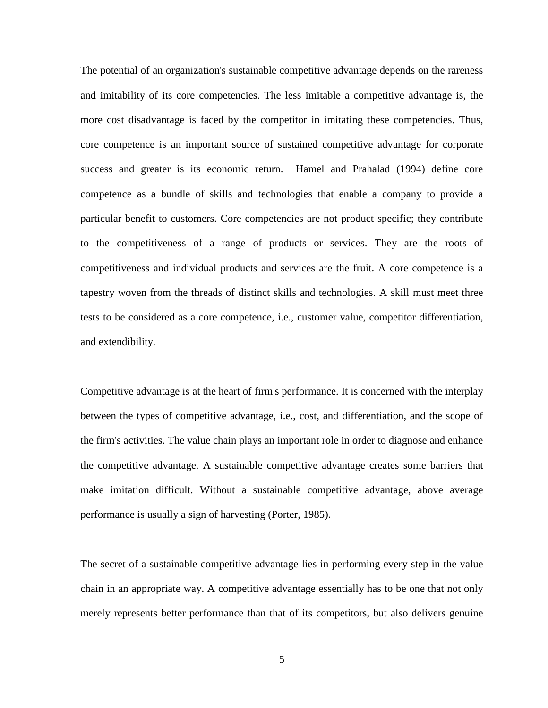The potential of an organization's sustainable competitive advantage depends on the rareness and imitability of its core competencies. The less imitable a competitive advantage is, the more cost disadvantage is faced by the competitor in imitating these competencies. Thus, core competence is an important source of sustained competitive advantage for corporate success and greater is its economic return. Hamel and Prahalad (1994) define core competence as a bundle of skills and technologies that enable a company to provide a particular benefit to customers. Core competencies are not product specific; they contribute to the competitiveness of a range of products or services. They are the roots of competitiveness and individual products and services are the fruit. A core competence is a tapestry woven from the threads of distinct skills and technologies. A skill must meet three tests to be considered as a core competence, i.e., customer value, competitor differentiation, and extendibility.

Competitive advantage is at the heart of firm's performance. It is concerned with the interplay between the types of competitive advantage, i.e., cost, and differentiation, and the scope of the firm's activities. The value chain plays an important role in order to diagnose and enhance the competitive advantage. A sustainable competitive advantage creates some barriers that make imitation difficult. Without a sustainable competitive advantage, above average performance is usually a sign of harvesting (Porter, 1985).

The secret of a sustainable competitive advantage lies in performing every step in the value chain in an appropriate way. A competitive advantage essentially has to be one that not only merely represents better performance than that of its competitors, but also delivers genuine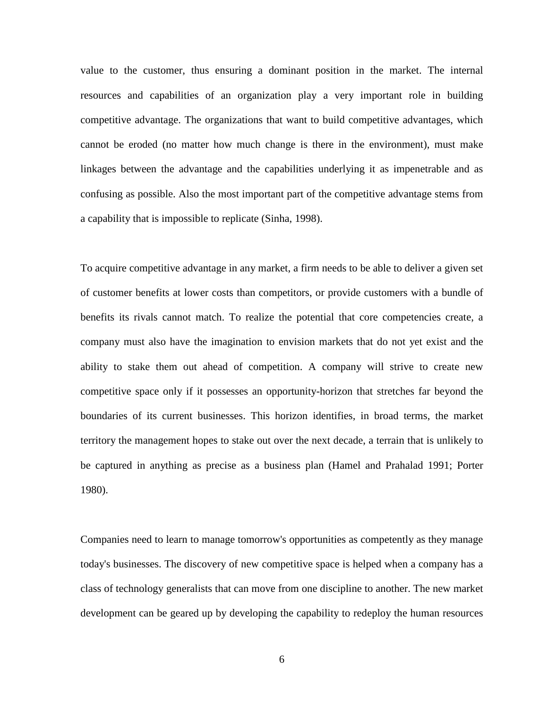value to the customer, thus ensuring a dominant position in the market. The internal resources and capabilities of an organization play a very important role in building competitive advantage. The organizations that want to build competitive advantages, which cannot be eroded (no matter how much change is there in the environment), must make linkages between the advantage and the capabilities underlying it as impenetrable and as confusing as possible. Also the most important part of the competitive advantage stems from a capability that is impossible to replicate (Sinha, 1998).

To acquire competitive advantage in any market, a firm needs to be able to deliver a given set of customer benefits at lower costs than competitors, or provide customers with a bundle of benefits its rivals cannot match. To realize the potential that core competencies create, a company must also have the imagination to envision markets that do not yet exist and the ability to stake them out ahead of competition. A company will strive to create new competitive space only if it possesses an opportunity-horizon that stretches far beyond the boundaries of its current businesses. This horizon identifies, in broad terms, the market territory the management hopes to stake out over the next decade, a terrain that is unlikely to be captured in anything as precise as a business plan (Hamel and Prahalad 1991; Porter 1980).

Companies need to learn to manage tomorrow's opportunities as competently as they manage today's businesses. The discovery of new competitive space is helped when a company has a class of technology generalists that can move from one discipline to another. The new market development can be geared up by developing the capability to redeploy the human resources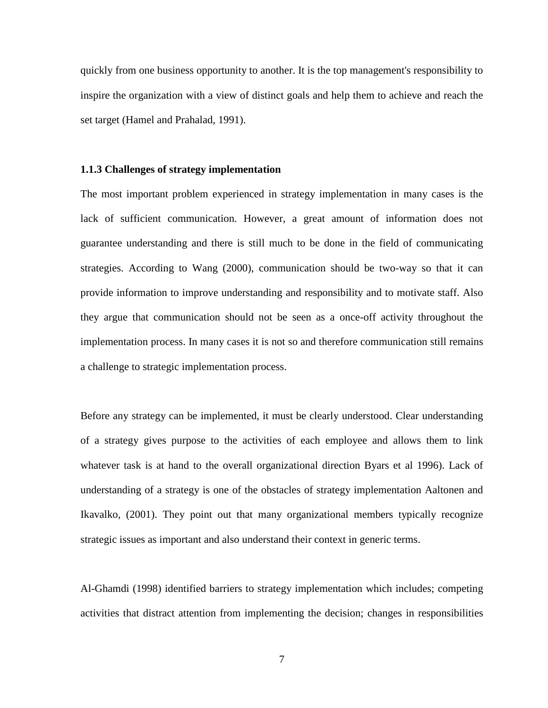quickly from one business opportunity to another. It is the top management's responsibility to inspire the organization with a view of distinct goals and help them to achieve and reach the set target (Hamel and Prahalad, 1991).

### **1.1.3 Challenges of strategy implementation**

The most important problem experienced in strategy implementation in many cases is the lack of sufficient communication. However, a great amount of information does not guarantee understanding and there is still much to be done in the field of communicating strategies. According to Wang (2000), communication should be two-way so that it can provide information to improve understanding and responsibility and to motivate staff. Also they argue that communication should not be seen as a once-off activity throughout the implementation process. In many cases it is not so and therefore communication still remains a challenge to strategic implementation process.

Before any strategy can be implemented, it must be clearly understood. Clear understanding of a strategy gives purpose to the activities of each employee and allows them to link whatever task is at hand to the overall organizational direction Byars et al 1996). Lack of understanding of a strategy is one of the obstacles of strategy implementation Aaltonen and Ikavalko, (2001). They point out that many organizational members typically recognize strategic issues as important and also understand their context in generic terms.

Al-Ghamdi (1998) identified barriers to strategy implementation which includes; competing activities that distract attention from implementing the decision; changes in responsibilities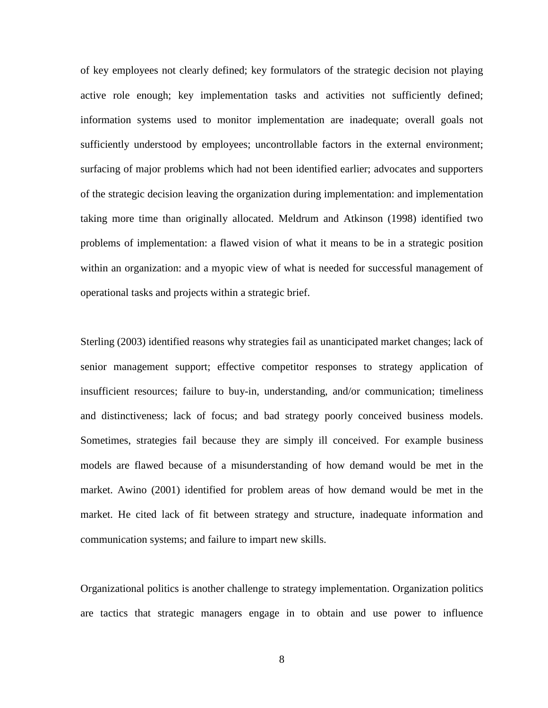of key employees not clearly defined; key formulators of the strategic decision not playing active role enough; key implementation tasks and activities not sufficiently defined; information systems used to monitor implementation are inadequate; overall goals not sufficiently understood by employees; uncontrollable factors in the external environment; surfacing of major problems which had not been identified earlier; advocates and supporters of the strategic decision leaving the organization during implementation: and implementation taking more time than originally allocated. Meldrum and Atkinson (1998) identified two problems of implementation: a flawed vision of what it means to be in a strategic position within an organization: and a myopic view of what is needed for successful management of operational tasks and projects within a strategic brief.

Sterling (2003) identified reasons why strategies fail as unanticipated market changes; lack of senior management support; effective competitor responses to strategy application of insufficient resources; failure to buy-in, understanding, and/or communication; timeliness and distinctiveness; lack of focus; and bad strategy poorly conceived business models. Sometimes, strategies fail because they are simply ill conceived. For example business models are flawed because of a misunderstanding of how demand would be met in the market. Awino (2001) identified for problem areas of how demand would be met in the market. He cited lack of fit between strategy and structure, inadequate information and communication systems; and failure to impart new skills.

Organizational politics is another challenge to strategy implementation. Organization politics are tactics that strategic managers engage in to obtain and use power to influence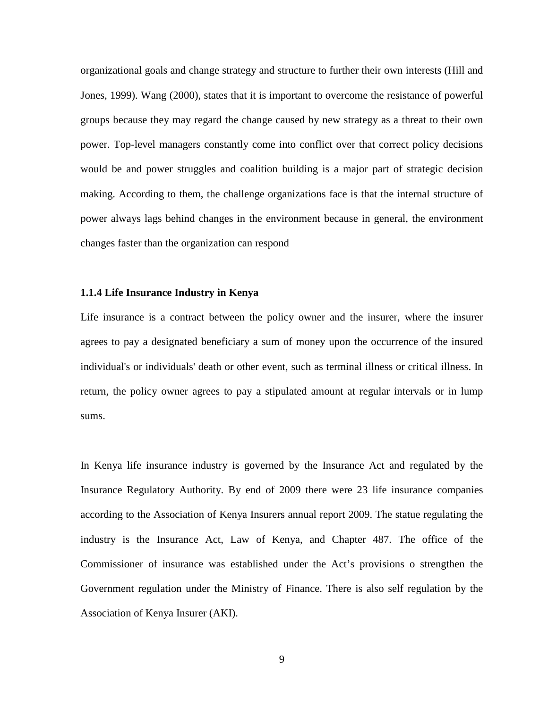organizational goals and change strategy and structure to further their own interests (Hill and Jones, 1999). Wang (2000), states that it is important to overcome the resistance of powerful groups because they may regard the change caused by new strategy as a threat to their own power. Top-level managers constantly come into conflict over that correct policy decisions would be and power struggles and coalition building is a major part of strategic decision making. According to them, the challenge organizations face is that the internal structure of power always lags behind changes in the environment because in general, the environment changes faster than the organization can respond

### **1.1.4 Life Insurance Industry in Kenya**

Life insurance is a contract between the policy owner and the insurer, where the insurer agrees to pay a designated beneficiary a sum of money upon the occurrence of the insured individual's or individuals' death or other event, such as terminal illness or critical illness. In return, the policy owner agrees to pay a stipulated amount at regular intervals or in lump sums.

In Kenya life insurance industry is governed by the Insurance Act and regulated by the Insurance Regulatory Authority. By end of 2009 there were 23 life insurance companies according to the Association of Kenya Insurers annual report 2009. The statue regulating the industry is the Insurance Act, Law of Kenya, and Chapter 487. The office of the Commissioner of insurance was established under the Act's provisions o strengthen the Government regulation under the Ministry of Finance. There is also self regulation by the Association of Kenya Insurer (AKI).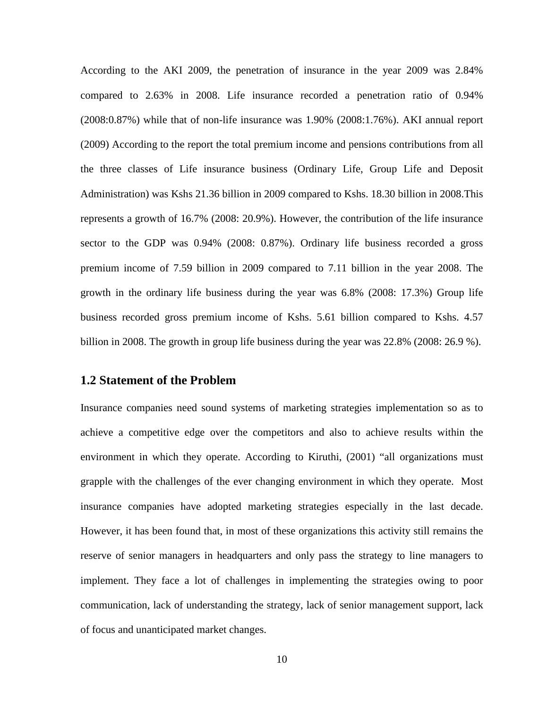According to the AKI 2009, the penetration of insurance in the year 2009 was 2.84% compared to 2.63% in 2008. Life insurance recorded a penetration ratio of 0.94% (2008:0.87%) while that of non-life insurance was 1.90% (2008:1.76%). AKI annual report (2009) According to the report the total premium income and pensions contributions from all the three classes of Life insurance business (Ordinary Life, Group Life and Deposit Administration) was Kshs 21.36 billion in 2009 compared to Kshs. 18.30 billion in 2008.This represents a growth of 16.7% (2008: 20.9%). However, the contribution of the life insurance sector to the GDP was 0.94% (2008: 0.87%). Ordinary life business recorded a gross premium income of 7.59 billion in 2009 compared to 7.11 billion in the year 2008. The growth in the ordinary life business during the year was 6.8% (2008: 17.3%) Group life business recorded gross premium income of Kshs. 5.61 billion compared to Kshs. 4.57 billion in 2008. The growth in group life business during the year was 22.8% (2008: 26.9 %).

### **1.2 Statement of the Problem**

Insurance companies need sound systems of marketing strategies implementation so as to achieve a competitive edge over the competitors and also to achieve results within the environment in which they operate. According to Kiruthi, (2001) "all organizations must grapple with the challenges of the ever changing environment in which they operate. Most insurance companies have adopted marketing strategies especially in the last decade. However, it has been found that, in most of these organizations this activity still remains the reserve of senior managers in headquarters and only pass the strategy to line managers to implement. They face a lot of challenges in implementing the strategies owing to poor communication, lack of understanding the strategy, lack of senior management support, lack of focus and unanticipated market changes.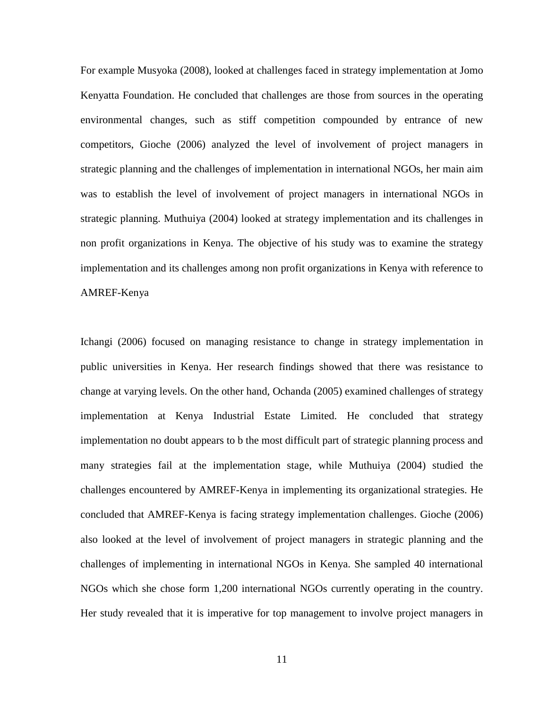For example Musyoka (2008), looked at challenges faced in strategy implementation at Jomo Kenyatta Foundation. He concluded that challenges are those from sources in the operating environmental changes, such as stiff competition compounded by entrance of new competitors, Gioche (2006) analyzed the level of involvement of project managers in strategic planning and the challenges of implementation in international NGOs, her main aim was to establish the level of involvement of project managers in international NGOs in strategic planning. Muthuiya (2004) looked at strategy implementation and its challenges in non profit organizations in Kenya. The objective of his study was to examine the strategy implementation and its challenges among non profit organizations in Kenya with reference to AMREF-Kenya

Ichangi (2006) focused on managing resistance to change in strategy implementation in public universities in Kenya. Her research findings showed that there was resistance to change at varying levels. On the other hand, Ochanda (2005) examined challenges of strategy implementation at Kenya Industrial Estate Limited. He concluded that strategy implementation no doubt appears to b the most difficult part of strategic planning process and many strategies fail at the implementation stage, while Muthuiya (2004) studied the challenges encountered by AMREF-Kenya in implementing its organizational strategies. He concluded that AMREF-Kenya is facing strategy implementation challenges. Gioche (2006) also looked at the level of involvement of project managers in strategic planning and the challenges of implementing in international NGOs in Kenya. She sampled 40 international NGOs which she chose form 1,200 international NGOs currently operating in the country. Her study revealed that it is imperative for top management to involve project managers in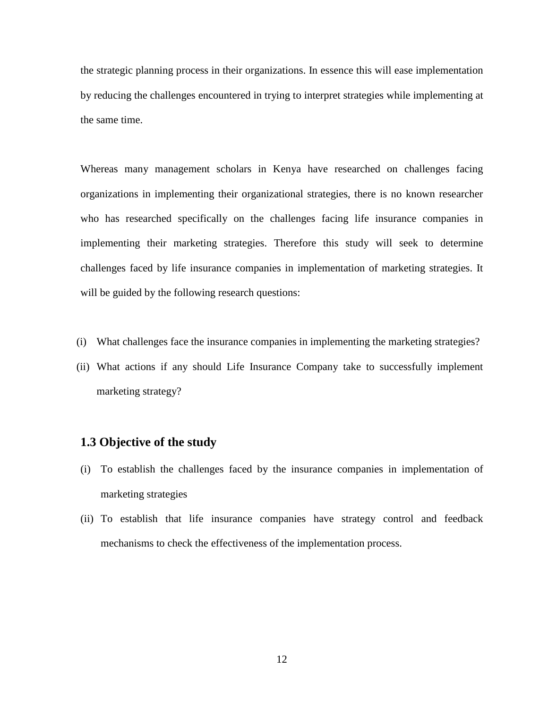the strategic planning process in their organizations. In essence this will ease implementation by reducing the challenges encountered in trying to interpret strategies while implementing at the same time.

Whereas many management scholars in Kenya have researched on challenges facing organizations in implementing their organizational strategies, there is no known researcher who has researched specifically on the challenges facing life insurance companies in implementing their marketing strategies. Therefore this study will seek to determine challenges faced by life insurance companies in implementation of marketing strategies. It will be guided by the following research questions:

- (i) What challenges face the insurance companies in implementing the marketing strategies?
- (ii) What actions if any should Life Insurance Company take to successfully implement marketing strategy?

### **1.3 Objective of the study**

- (i) To establish the challenges faced by the insurance companies in implementation of marketing strategies
- (ii) To establish that life insurance companies have strategy control and feedback mechanisms to check the effectiveness of the implementation process.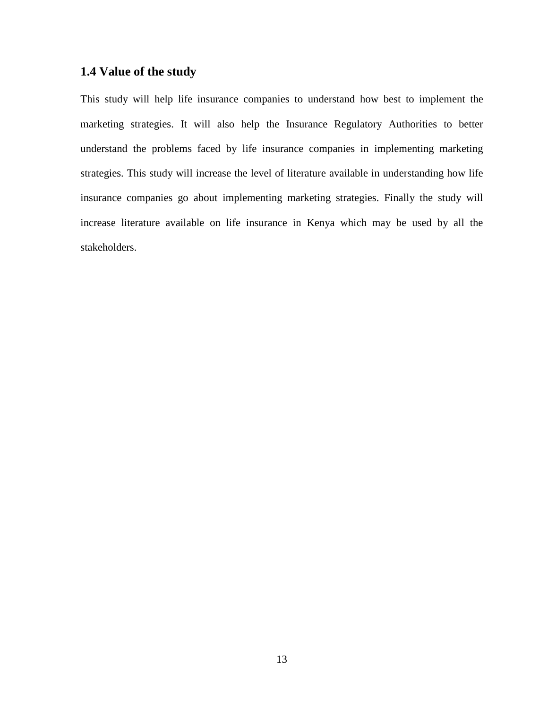### **1.4 Value of the study**

This study will help life insurance companies to understand how best to implement the marketing strategies. It will also help the Insurance Regulatory Authorities to better understand the problems faced by life insurance companies in implementing marketing strategies. This study will increase the level of literature available in understanding how life insurance companies go about implementing marketing strategies. Finally the study will increase literature available on life insurance in Kenya which may be used by all the stakeholders.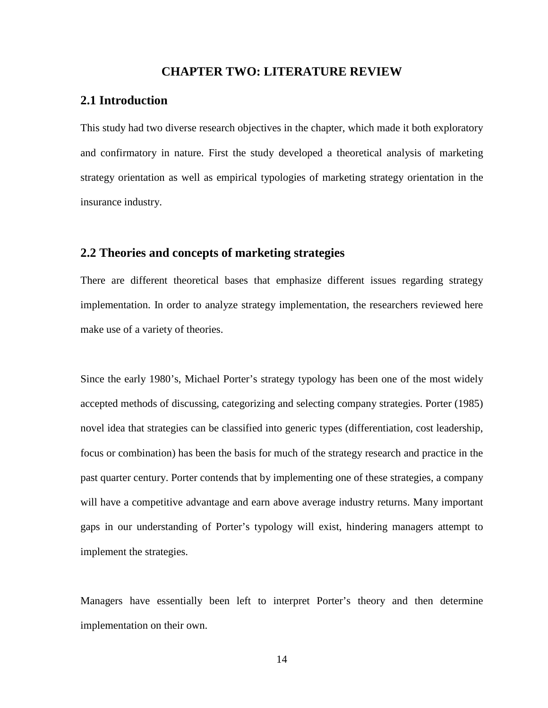### **CHAPTER TWO: LITERATURE REVIEW**

### **2.1 Introduction**

This study had two diverse research objectives in the chapter, which made it both exploratory and confirmatory in nature. First the study developed a theoretical analysis of marketing strategy orientation as well as empirical typologies of marketing strategy orientation in the insurance industry.

### **2.2 Theories and concepts of marketing strategies**

There are different theoretical bases that emphasize different issues regarding strategy implementation. In order to analyze strategy implementation, the researchers reviewed here make use of a variety of theories.

Since the early 1980's, Michael Porter's strategy typology has been one of the most widely accepted methods of discussing, categorizing and selecting company strategies. Porter (1985) novel idea that strategies can be classified into generic types (differentiation, cost leadership, focus or combination) has been the basis for much of the strategy research and practice in the past quarter century. Porter contends that by implementing one of these strategies, a company will have a competitive advantage and earn above average industry returns. Many important gaps in our understanding of Porter's typology will exist, hindering managers attempt to implement the strategies.

Managers have essentially been left to interpret Porter's theory and then determine implementation on their own.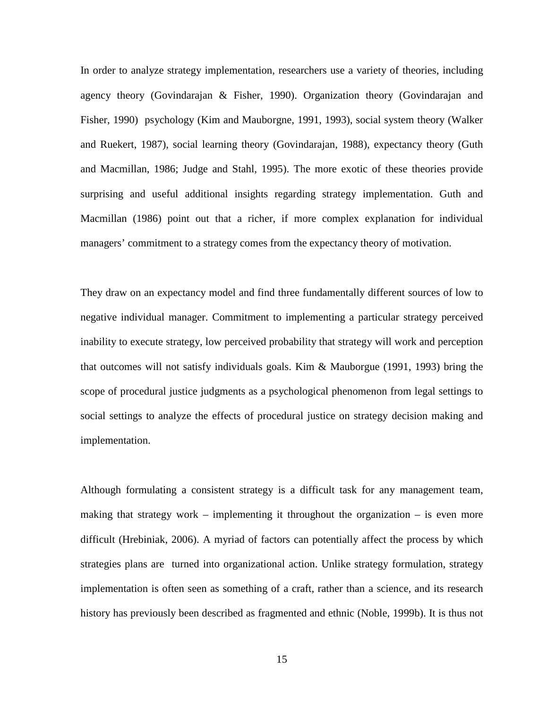In order to analyze strategy implementation, researchers use a variety of theories, including agency theory (Govindarajan & Fisher, 1990). Organization theory (Govindarajan and Fisher, 1990) psychology (Kim and Mauborgne, 1991, 1993), social system theory (Walker and Ruekert, 1987), social learning theory (Govindarajan, 1988), expectancy theory (Guth and Macmillan, 1986; Judge and Stahl, 1995). The more exotic of these theories provide surprising and useful additional insights regarding strategy implementation. Guth and Macmillan (1986) point out that a richer, if more complex explanation for individual managers' commitment to a strategy comes from the expectancy theory of motivation.

They draw on an expectancy model and find three fundamentally different sources of low to negative individual manager. Commitment to implementing a particular strategy perceived inability to execute strategy, low perceived probability that strategy will work and perception that outcomes will not satisfy individuals goals. Kim & Mauborgue (1991, 1993) bring the scope of procedural justice judgments as a psychological phenomenon from legal settings to social settings to analyze the effects of procedural justice on strategy decision making and implementation.

Although formulating a consistent strategy is a difficult task for any management team, making that strategy work – implementing it throughout the organization – is even more difficult (Hrebiniak, 2006). A myriad of factors can potentially affect the process by which strategies plans are turned into organizational action. Unlike strategy formulation, strategy implementation is often seen as something of a craft, rather than a science, and its research history has previously been described as fragmented and ethnic (Noble, 1999b). It is thus not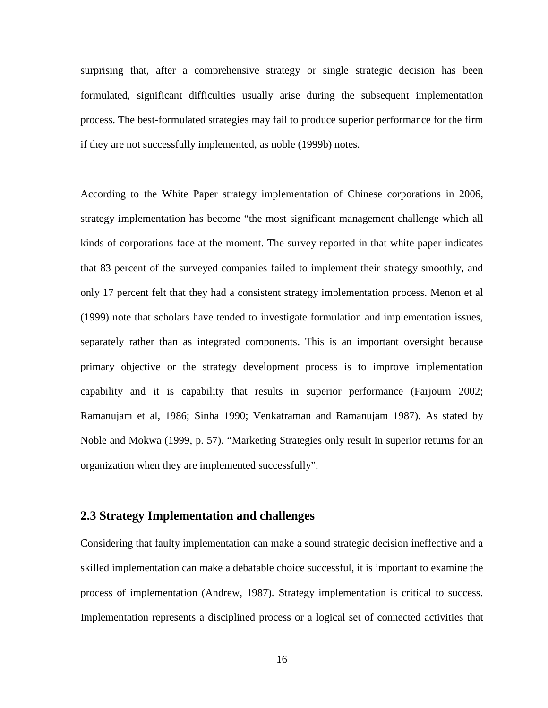surprising that, after a comprehensive strategy or single strategic decision has been formulated, significant difficulties usually arise during the subsequent implementation process. The best-formulated strategies may fail to produce superior performance for the firm if they are not successfully implemented, as noble (1999b) notes.

According to the White Paper strategy implementation of Chinese corporations in 2006, strategy implementation has become "the most significant management challenge which all kinds of corporations face at the moment. The survey reported in that white paper indicates that 83 percent of the surveyed companies failed to implement their strategy smoothly, and only 17 percent felt that they had a consistent strategy implementation process. Menon et al (1999) note that scholars have tended to investigate formulation and implementation issues, separately rather than as integrated components. This is an important oversight because primary objective or the strategy development process is to improve implementation capability and it is capability that results in superior performance (Farjourn 2002; Ramanujam et al, 1986; Sinha 1990; Venkatraman and Ramanujam 1987). As stated by Noble and Mokwa (1999, p. 57). "Marketing Strategies only result in superior returns for an organization when they are implemented successfully".

### **2.3 Strategy Implementation and challenges**

Considering that faulty implementation can make a sound strategic decision ineffective and a skilled implementation can make a debatable choice successful, it is important to examine the process of implementation (Andrew, 1987). Strategy implementation is critical to success. Implementation represents a disciplined process or a logical set of connected activities that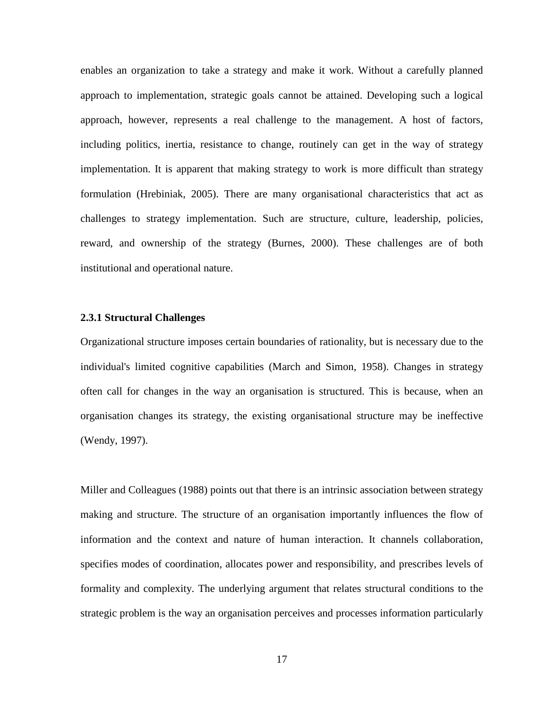enables an organization to take a strategy and make it work. Without a carefully planned approach to implementation, strategic goals cannot be attained. Developing such a logical approach, however, represents a real challenge to the management. A host of factors, including politics, inertia, resistance to change, routinely can get in the way of strategy implementation. It is apparent that making strategy to work is more difficult than strategy formulation (Hrebiniak, 2005). There are many organisational characteristics that act as challenges to strategy implementation. Such are structure, culture, leadership, policies, reward, and ownership of the strategy (Burnes, 2000). These challenges are of both institutional and operational nature.

#### **2.3.1 Structural Challenges**

Organizational structure imposes certain boundaries of rationality, but is necessary due to the individual's limited cognitive capabilities (March and Simon, 1958). Changes in strategy often call for changes in the way an organisation is structured. This is because, when an organisation changes its strategy, the existing organisational structure may be ineffective (Wendy, 1997).

Miller and Colleagues (1988) points out that there is an intrinsic association between strategy making and structure. The structure of an organisation importantly influences the flow of information and the context and nature of human interaction. It channels collaboration, specifies modes of coordination, allocates power and responsibility, and prescribes levels of formality and complexity. The underlying argument that relates structural conditions to the strategic problem is the way an organisation perceives and processes information particularly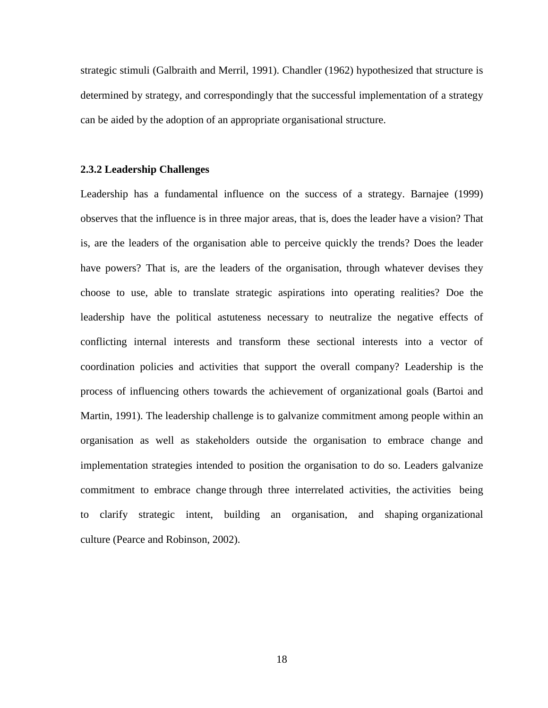strategic stimuli (Galbraith and Merril, 1991). Chandler (1962) hypothesized that structure is determined by strategy, and correspondingly that the successful implementation of a strategy can be aided by the adoption of an appropriate organisational structure.

#### **2.3.2 Leadership Challenges**

Leadership has a fundamental influence on the success of a strategy. Barnajee (1999) observes that the influence is in three major areas, that is, does the leader have a vision? That is, are the leaders of the organisation able to perceive quickly the trends? Does the leader have powers? That is, are the leaders of the organisation, through whatever devises they choose to use, able to translate strategic aspirations into operating realities? Doe the leadership have the political astuteness necessary to neutralize the negative effects of conflicting internal interests and transform these sectional interests into a vector of coordination policies and activities that support the overall company? Leadership is the process of influencing others towards the achievement of organizational goals (Bartoi and Martin, 1991). The leadership challenge is to galvanize commitment among people within an organisation as well as stakeholders outside the organisation to embrace change and implementation strategies intended to position the organisation to do so. Leaders galvanize commitment to embrace change through three interrelated activities, the activities being to clarify strategic intent, building an organisation, and shaping organizational culture (Pearce and Robinson, 2002).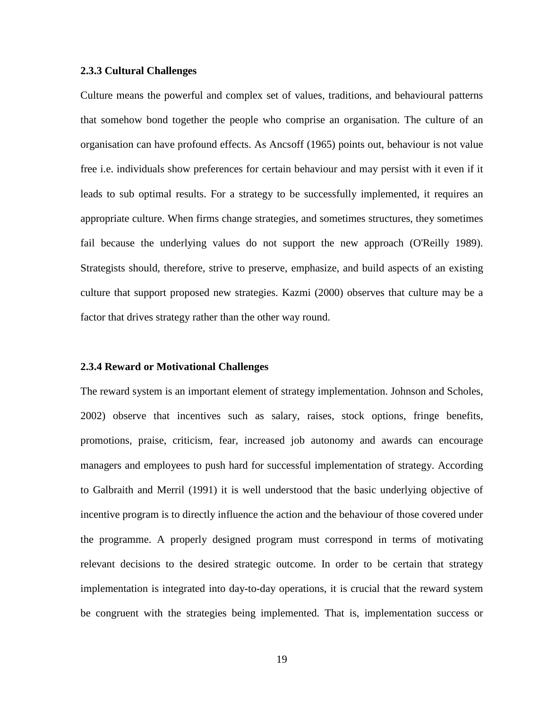### **2.3.3 Cultural Challenges**

Culture means the powerful and complex set of values, traditions, and behavioural patterns that somehow bond together the people who comprise an organisation. The culture of an organisation can have profound effects. As Ancsoff (1965) points out, behaviour is not value free i.e. individuals show preferences for certain behaviour and may persist with it even if it leads to sub optimal results. For a strategy to be successfully implemented, it requires an appropriate culture. When firms change strategies, and sometimes structures, they sometimes fail because the underlying values do not support the new approach (O'Reilly 1989). Strategists should, therefore, strive to preserve, emphasize, and build aspects of an existing culture that support proposed new strategies. Kazmi (2000) observes that culture may be a factor that drives strategy rather than the other way round.

### **2.3.4 Reward or Motivational Challenges**

The reward system is an important element of strategy implementation. Johnson and Scholes, 2002) observe that incentives such as salary, raises, stock options, fringe benefits, promotions, praise, criticism, fear, increased job autonomy and awards can encourage managers and employees to push hard for successful implementation of strategy. According to Galbraith and Merril (1991) it is well understood that the basic underlying objective of incentive program is to directly influence the action and the behaviour of those covered under the programme. A properly designed program must correspond in terms of motivating relevant decisions to the desired strategic outcome. In order to be certain that strategy implementation is integrated into day-to-day operations, it is crucial that the reward system be congruent with the strategies being implemented. That is, implementation success or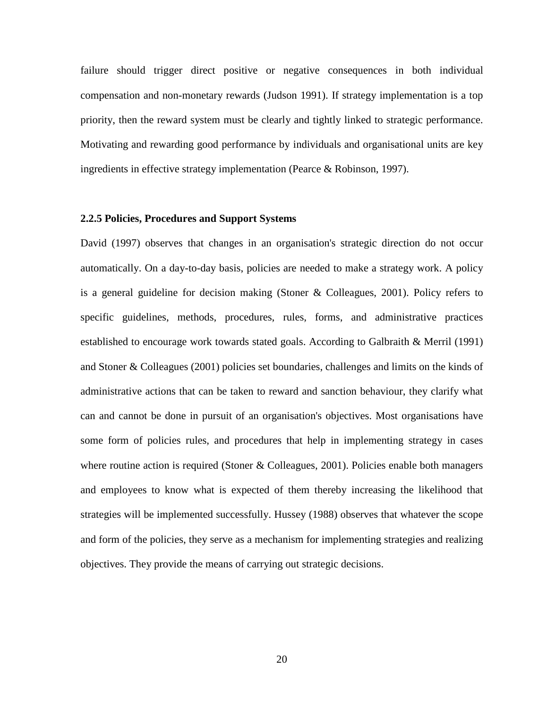failure should trigger direct positive or negative consequences in both individual compensation and non-monetary rewards (Judson 1991). If strategy implementation is a top priority, then the reward system must be clearly and tightly linked to strategic performance. Motivating and rewarding good performance by individuals and organisational units are key ingredients in effective strategy implementation (Pearce & Robinson, 1997).

#### **2.2.5 Policies, Procedures and Support Systems**

David (1997) observes that changes in an organisation's strategic direction do not occur automatically. On a day-to-day basis, policies are needed to make a strategy work. A policy is a general guideline for decision making (Stoner & Colleagues, 2001). Policy refers to specific guidelines, methods, procedures, rules, forms, and administrative practices established to encourage work towards stated goals. According to Galbraith & Merril (1991) and Stoner & Colleagues (2001) policies set boundaries, challenges and limits on the kinds of administrative actions that can be taken to reward and sanction behaviour, they clarify what can and cannot be done in pursuit of an organisation's objectives. Most organisations have some form of policies rules, and procedures that help in implementing strategy in cases where routine action is required (Stoner & Colleagues, 2001). Policies enable both managers and employees to know what is expected of them thereby increasing the likelihood that strategies will be implemented successfully. Hussey (1988) observes that whatever the scope and form of the policies, they serve as a mechanism for implementing strategies and realizing objectives. They provide the means of carrying out strategic decisions.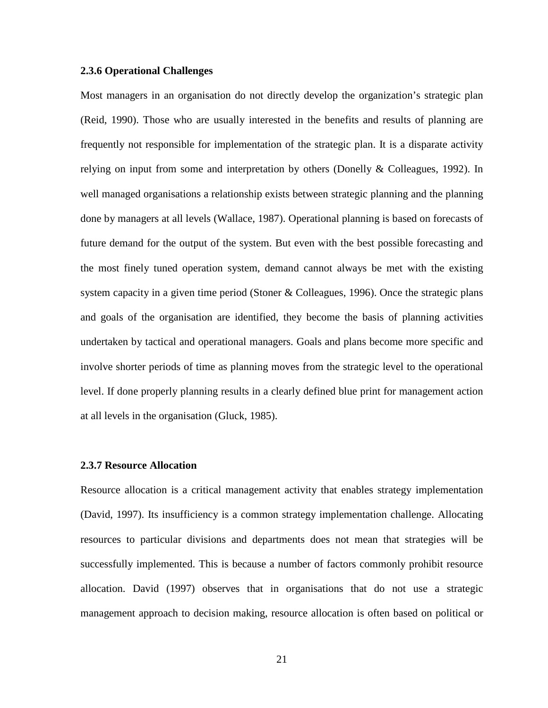### **2.3.6 Operational Challenges**

Most managers in an organisation do not directly develop the organization's strategic plan (Reid, 1990). Those who are usually interested in the benefits and results of planning are frequently not responsible for implementation of the strategic plan. It is a disparate activity relying on input from some and interpretation by others (Donelly & Colleagues, 1992). In well managed organisations a relationship exists between strategic planning and the planning done by managers at all levels (Wallace, 1987). Operational planning is based on forecasts of future demand for the output of the system. But even with the best possible forecasting and the most finely tuned operation system, demand cannot always be met with the existing system capacity in a given time period (Stoner & Colleagues, 1996). Once the strategic plans and goals of the organisation are identified, they become the basis of planning activities undertaken by tactical and operational managers. Goals and plans become more specific and involve shorter periods of time as planning moves from the strategic level to the operational level. If done properly planning results in a clearly defined blue print for management action at all levels in the organisation (Gluck, 1985).

#### **2.3.7 Resource Allocation**

Resource allocation is a critical management activity that enables strategy implementation (David, 1997). Its insufficiency is a common strategy implementation challenge. Allocating resources to particular divisions and departments does not mean that strategies will be successfully implemented. This is because a number of factors commonly prohibit resource allocation. David (1997) observes that in organisations that do not use a strategic management approach to decision making, resource allocation is often based on political or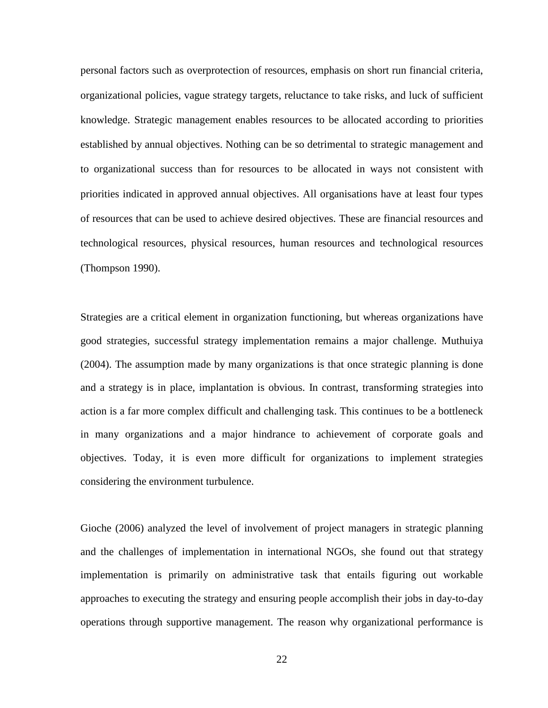personal factors such as overprotection of resources, emphasis on short run financial criteria, organizational policies, vague strategy targets, reluctance to take risks, and luck of sufficient knowledge. Strategic management enables resources to be allocated according to priorities established by annual objectives. Nothing can be so detrimental to strategic management and to organizational success than for resources to be allocated in ways not consistent with priorities indicated in approved annual objectives. All organisations have at least four types of resources that can be used to achieve desired objectives. These are financial resources and technological resources, physical resources, human resources and technological resources (Thompson 1990).

Strategies are a critical element in organization functioning, but whereas organizations have good strategies, successful strategy implementation remains a major challenge. Muthuiya (2004). The assumption made by many organizations is that once strategic planning is done and a strategy is in place, implantation is obvious. In contrast, transforming strategies into action is a far more complex difficult and challenging task. This continues to be a bottleneck in many organizations and a major hindrance to achievement of corporate goals and objectives. Today, it is even more difficult for organizations to implement strategies considering the environment turbulence.

Gioche (2006) analyzed the level of involvement of project managers in strategic planning and the challenges of implementation in international NGOs, she found out that strategy implementation is primarily on administrative task that entails figuring out workable approaches to executing the strategy and ensuring people accomplish their jobs in day-to-day operations through supportive management. The reason why organizational performance is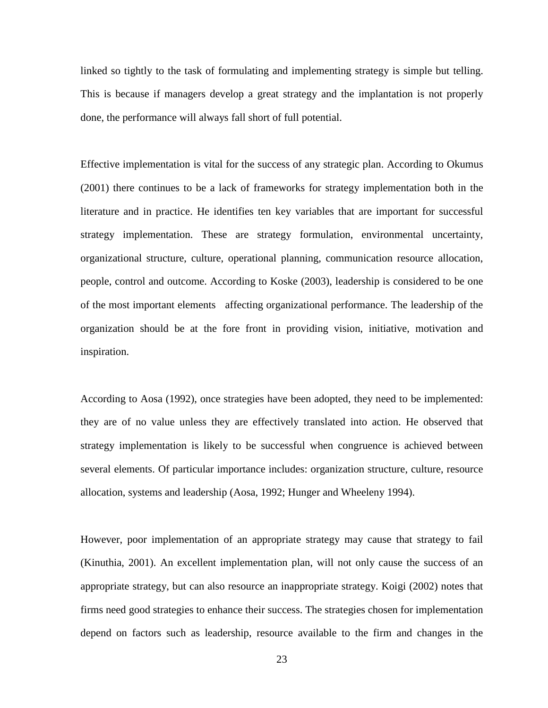linked so tightly to the task of formulating and implementing strategy is simple but telling. This is because if managers develop a great strategy and the implantation is not properly done, the performance will always fall short of full potential.

Effective implementation is vital for the success of any strategic plan. According to Okumus (2001) there continues to be a lack of frameworks for strategy implementation both in the literature and in practice. He identifies ten key variables that are important for successful strategy implementation. These are strategy formulation, environmental uncertainty, organizational structure, culture, operational planning, communication resource allocation, people, control and outcome. According to Koske (2003), leadership is considered to be one of the most important elements affecting organizational performance. The leadership of the organization should be at the fore front in providing vision, initiative, motivation and inspiration.

According to Aosa (1992), once strategies have been adopted, they need to be implemented: they are of no value unless they are effectively translated into action. He observed that strategy implementation is likely to be successful when congruence is achieved between several elements. Of particular importance includes: organization structure, culture, resource allocation, systems and leadership (Aosa, 1992; Hunger and Wheeleny 1994).

However, poor implementation of an appropriate strategy may cause that strategy to fail (Kinuthia, 2001). An excellent implementation plan, will not only cause the success of an appropriate strategy, but can also resource an inappropriate strategy. Koigi (2002) notes that firms need good strategies to enhance their success. The strategies chosen for implementation depend on factors such as leadership, resource available to the firm and changes in the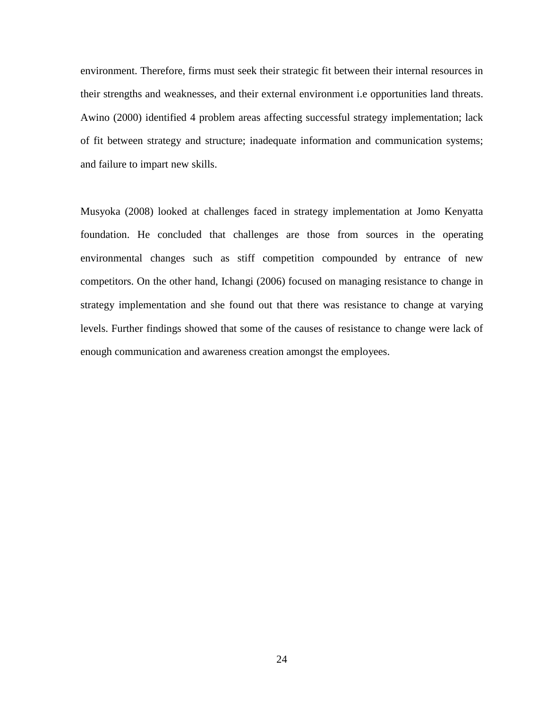environment. Therefore, firms must seek their strategic fit between their internal resources in their strengths and weaknesses, and their external environment i.e opportunities land threats. Awino (2000) identified 4 problem areas affecting successful strategy implementation; lack of fit between strategy and structure; inadequate information and communication systems; and failure to impart new skills.

Musyoka (2008) looked at challenges faced in strategy implementation at Jomo Kenyatta foundation. He concluded that challenges are those from sources in the operating environmental changes such as stiff competition compounded by entrance of new competitors. On the other hand, Ichangi (2006) focused on managing resistance to change in strategy implementation and she found out that there was resistance to change at varying levels. Further findings showed that some of the causes of resistance to change were lack of enough communication and awareness creation amongst the employees.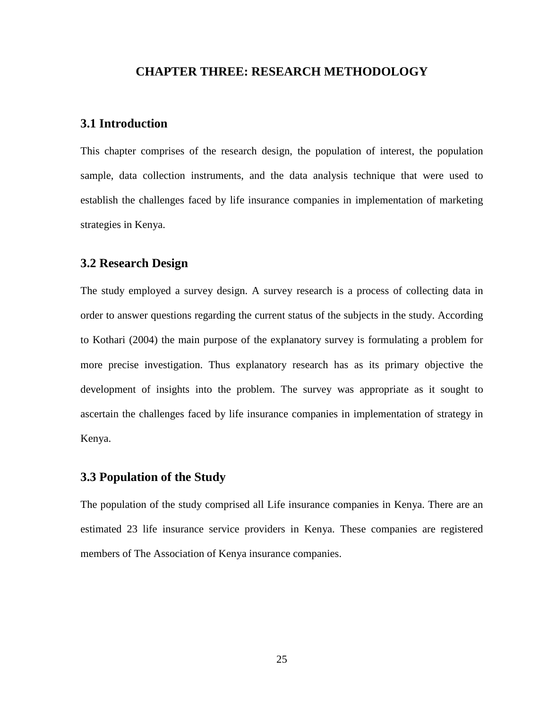## **CHAPTER THREE: RESEARCH METHODOLOGY**

# **3.1 Introduction**

This chapter comprises of the research design, the population of interest, the population sample, data collection instruments, and the data analysis technique that were used to establish the challenges faced by life insurance companies in implementation of marketing strategies in Kenya.

## **3.2 Research Design**

The study employed a survey design. A survey research is a process of collecting data in order to answer questions regarding the current status of the subjects in the study. According to Kothari (2004) the main purpose of the explanatory survey is formulating a problem for more precise investigation. Thus explanatory research has as its primary objective the development of insights into the problem. The survey was appropriate as it sought to ascertain the challenges faced by life insurance companies in implementation of strategy in Kenya.

# **3.3 Population of the Study**

The population of the study comprised all Life insurance companies in Kenya. There are an estimated 23 life insurance service providers in Kenya. These companies are registered members of The Association of Kenya insurance companies.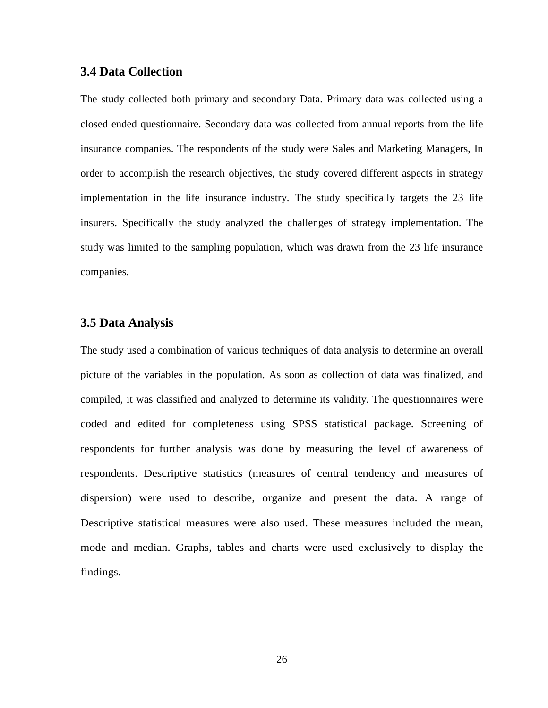## **3.4 Data Collection**

The study collected both primary and secondary Data. Primary data was collected using a closed ended questionnaire. Secondary data was collected from annual reports from the life insurance companies. The respondents of the study were Sales and Marketing Managers, In order to accomplish the research objectives, the study covered different aspects in strategy implementation in the life insurance industry. The study specifically targets the 23 life insurers. Specifically the study analyzed the challenges of strategy implementation. The study was limited to the sampling population, which was drawn from the 23 life insurance companies.

## **3.5 Data Analysis**

The study used a combination of various techniques of data analysis to determine an overall picture of the variables in the population. As soon as collection of data was finalized, and compiled, it was classified and analyzed to determine its validity. The questionnaires were coded and edited for completeness using SPSS statistical package. Screening of respondents for further analysis was done by measuring the level of awareness of respondents. Descriptive statistics (measures of central tendency and measures of dispersion) were used to describe, organize and present the data. A range of Descriptive statistical measures were also used. These measures included the mean, mode and median. Graphs, tables and charts were used exclusively to display the findings.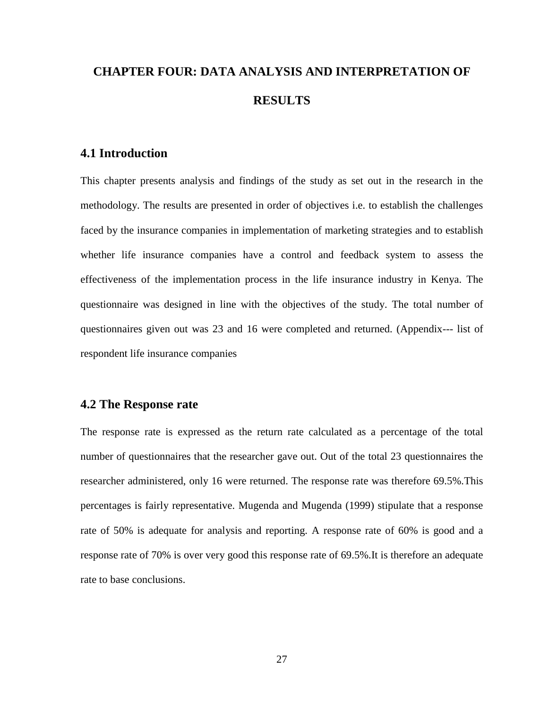# **CHAPTER FOUR: DATA ANALYSIS AND INTERPRETATION OF RESULTS**

# **4.1 Introduction**

This chapter presents analysis and findings of the study as set out in the research in the methodology. The results are presented in order of objectives i.e. to establish the challenges faced by the insurance companies in implementation of marketing strategies and to establish whether life insurance companies have a control and feedback system to assess the effectiveness of the implementation process in the life insurance industry in Kenya. The questionnaire was designed in line with the objectives of the study. The total number of questionnaires given out was 23 and 16 were completed and returned. (Appendix--- list of respondent life insurance companies

## **4.2 The Response rate**

The response rate is expressed as the return rate calculated as a percentage of the total number of questionnaires that the researcher gave out. Out of the total 23 questionnaires the researcher administered, only 16 were returned. The response rate was therefore 69.5%.This percentages is fairly representative. Mugenda and Mugenda (1999) stipulate that a response rate of 50% is adequate for analysis and reporting. A response rate of 60% is good and a response rate of 70% is over very good this response rate of 69.5%.It is therefore an adequate rate to base conclusions.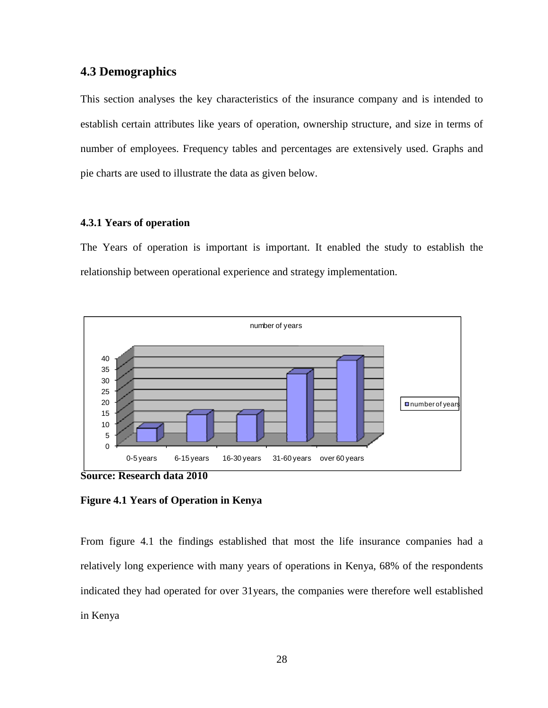# **4.3 Demographics**

This section analyses the key characteristics of the insurance company and is intended to establish certain attributes like years of operation, ownership structure, and size in terms of number of employees. Frequency tables and percentages are extensively used. Graphs and pie charts are used to illustrate the data as given below.

## **4.3.1 Years of operation**

The Years of operation is important is important. It enabled the study to establish the relationship between operational experience and strategy implementation.



**Figure 4.1 Years of Operation in Kenya** 

From figure 4.1 the findings established that most the life insurance companies had a relatively long experience with many years of operations in Kenya, 68% of the respondents indicated they had operated for over 31years, the companies were therefore well established in Kenya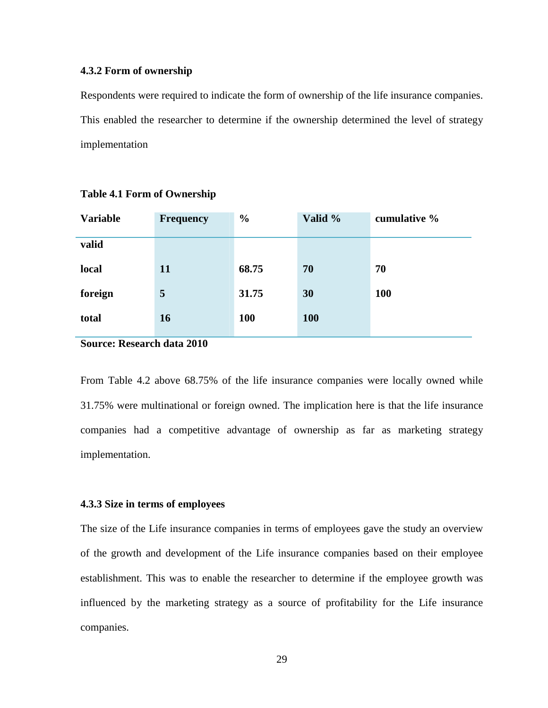#### **4.3.2 Form of ownership**

Respondents were required to indicate the form of ownership of the life insurance companies. This enabled the researcher to determine if the ownership determined the level of strategy implementation

| <b>Variable</b> | <b>Frequency</b> | $\frac{0}{0}$ | Valid %    | cumulative % |
|-----------------|------------------|---------------|------------|--------------|
| valid           |                  |               |            |              |
| local           | 11               | 68.75         | 70         | 70           |
| foreign         | $\overline{5}$   | 31.75         | 30         | <b>100</b>   |
| total           | <b>16</b>        | 100           | <b>100</b> |              |

**Table 4.1 Form of Ownership** 

## **Source: Research data 2010**

From Table 4.2 above 68.75% of the life insurance companies were locally owned while 31.75% were multinational or foreign owned. The implication here is that the life insurance companies had a competitive advantage of ownership as far as marketing strategy implementation.

#### **4.3.3 Size in terms of employees**

The size of the Life insurance companies in terms of employees gave the study an overview of the growth and development of the Life insurance companies based on their employee establishment. This was to enable the researcher to determine if the employee growth was influenced by the marketing strategy as a source of profitability for the Life insurance companies.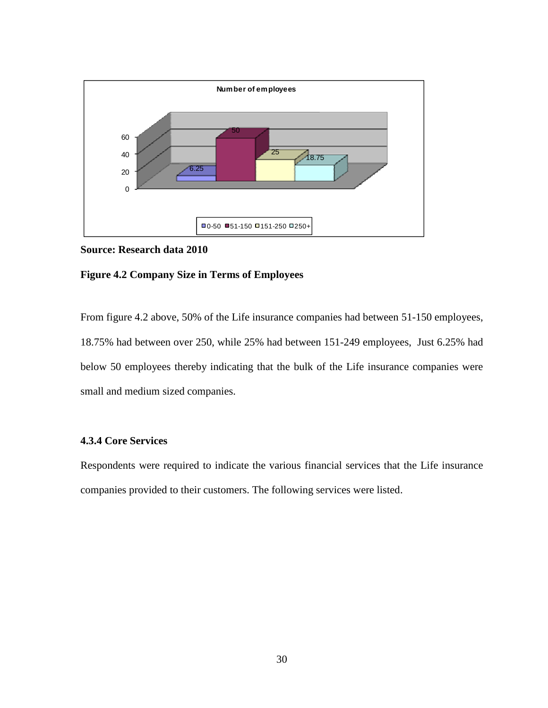

**Source: Research data 2010** 

#### **Figure 4.2 Company Size in Terms of Employees**

From figure 4.2 above, 50% of the Life insurance companies had between 51-150 employees, 18.75% had between over 250, while 25% had between 151-249 employees, Just 6.25% had below 50 employees thereby indicating that the bulk of the Life insurance companies were small and medium sized companies.

## **4.3.4 Core Services**

Respondents were required to indicate the various financial services that the Life insurance companies provided to their customers. The following services were listed.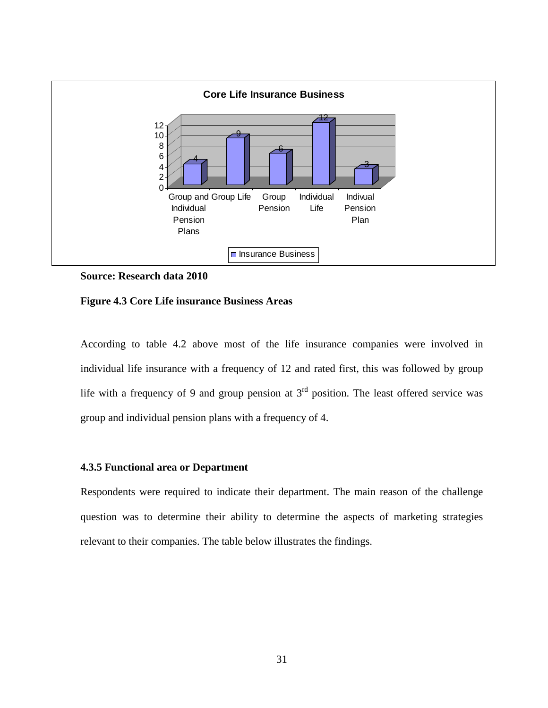

## **Source: Research data 2010**

**Figure 4.3 Core Life insurance Business Areas** 

According to table 4.2 above most of the life insurance companies were involved in individual life insurance with a frequency of 12 and rated first, this was followed by group life with a frequency of 9 and group pension at  $3<sup>rd</sup>$  position. The least offered service was group and individual pension plans with a frequency of 4.

## **4.3.5 Functional area or Department**

Respondents were required to indicate their department. The main reason of the challenge question was to determine their ability to determine the aspects of marketing strategies relevant to their companies. The table below illustrates the findings.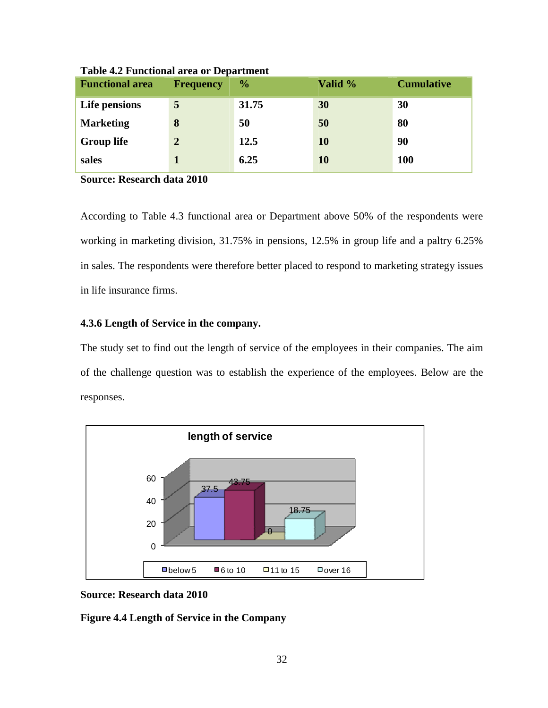| <b>Functional area</b> | <b>Frequency</b> | $\frac{0}{0}$ | Valid %   | <b>Cumulative</b> |
|------------------------|------------------|---------------|-----------|-------------------|
| Life pensions          | 5                | 31.75         | 30        | 30                |
| <b>Marketing</b>       | 8                | 50            | 50        | 80                |
| <b>Group life</b>      | 2                | 12.5          | <b>10</b> | 90                |
| sales                  |                  | 6.25          | 10        | <b>100</b>        |

**Table 4.2 Functional area or Department** 

**Source: Research data 2010** 

According to Table 4.3 functional area or Department above 50% of the respondents were working in marketing division, 31.75% in pensions, 12.5% in group life and a paltry 6.25% in sales. The respondents were therefore better placed to respond to marketing strategy issues in life insurance firms.

## **4.3.6 Length of Service in the company.**

The study set to find out the length of service of the employees in their companies. The aim of the challenge question was to establish the experience of the employees. Below are the responses.



**Source: Research data 2010** 

**Figure 4.4 Length of Service in the Company**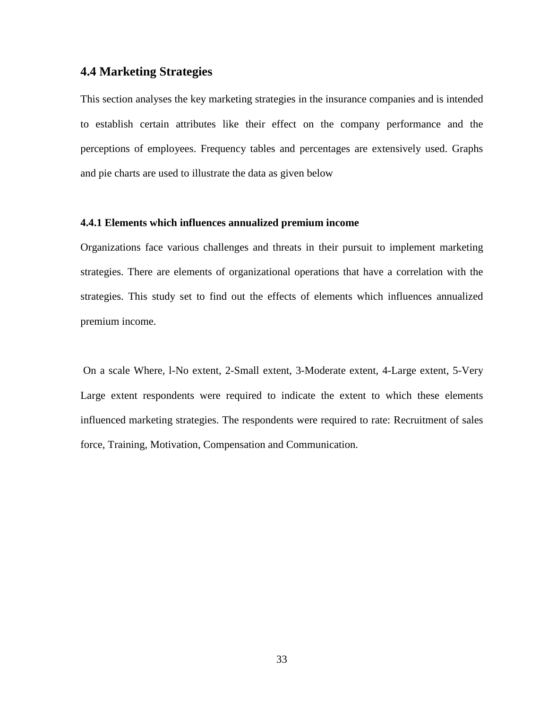## **4.4 Marketing Strategies**

This section analyses the key marketing strategies in the insurance companies and is intended to establish certain attributes like their effect on the company performance and the perceptions of employees. Frequency tables and percentages are extensively used. Graphs and pie charts are used to illustrate the data as given below

## **4.4.1 Elements which influences annualized premium income**

Organizations face various challenges and threats in their pursuit to implement marketing strategies. There are elements of organizational operations that have a correlation with the strategies. This study set to find out the effects of elements which influences annualized premium income.

 On a scale Where, l-No extent, 2-Small extent, 3-Moderate extent, 4-Large extent, 5-Very Large extent respondents were required to indicate the extent to which these elements influenced marketing strategies. The respondents were required to rate: Recruitment of sales force, Training, Motivation, Compensation and Communication.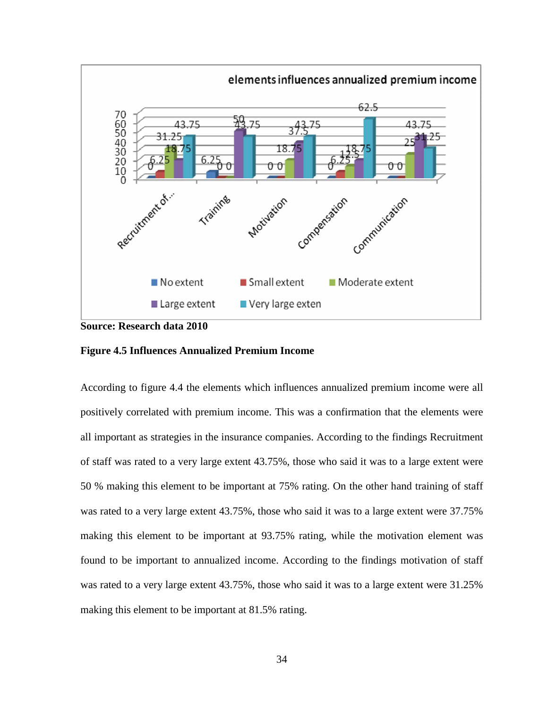

**Source: Research data 2010** 

#### **Figure 4.5 Influences Annualized Premium Income**

According to figure 4.4 the elements which influences annualized premium income were all positively correlated with premium income. This was a confirmation that the elements were all important as strategies in the insurance companies. According to the findings Recruitment of staff was rated to a very large extent 43.75%, those who said it was to a large extent were 50 % making this element to be important at 75% rating. On the other hand training of staff was rated to a very large extent 43.75%, those who said it was to a large extent were 37.75% making this element to be important at 93.75% rating, while the motivation element was found to be important to annualized income. According to the findings motivation of staff was rated to a very large extent 43.75%, those who said it was to a large extent were 31.25% making this element to be important at 81.5% rating.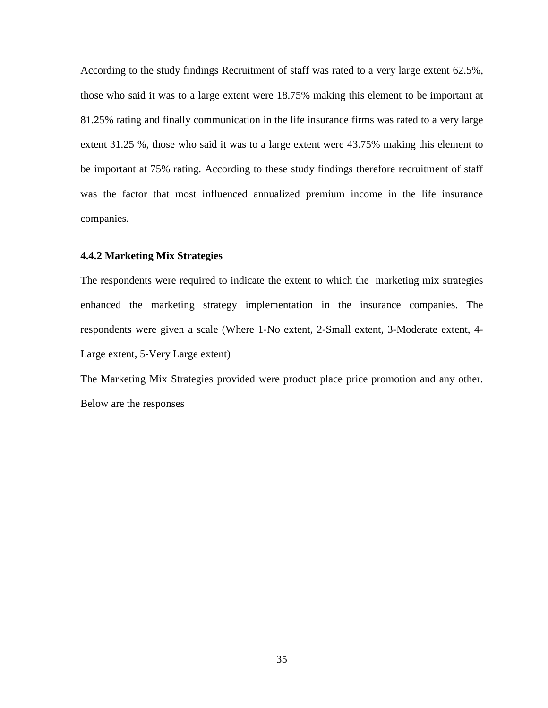According to the study findings Recruitment of staff was rated to a very large extent 62.5%, those who said it was to a large extent were 18.75% making this element to be important at 81.25% rating and finally communication in the life insurance firms was rated to a very large extent 31.25 %, those who said it was to a large extent were 43.75% making this element to be important at 75% rating. According to these study findings therefore recruitment of staff was the factor that most influenced annualized premium income in the life insurance companies.

## **4.4.2 Marketing Mix Strategies**

The respondents were required to indicate the extent to which the marketing mix strategies enhanced the marketing strategy implementation in the insurance companies. The respondents were given a scale (Where 1-No extent, 2-Small extent, 3-Moderate extent, 4- Large extent, 5-Very Large extent)

The Marketing Mix Strategies provided were product place price promotion and any other. Below are the responses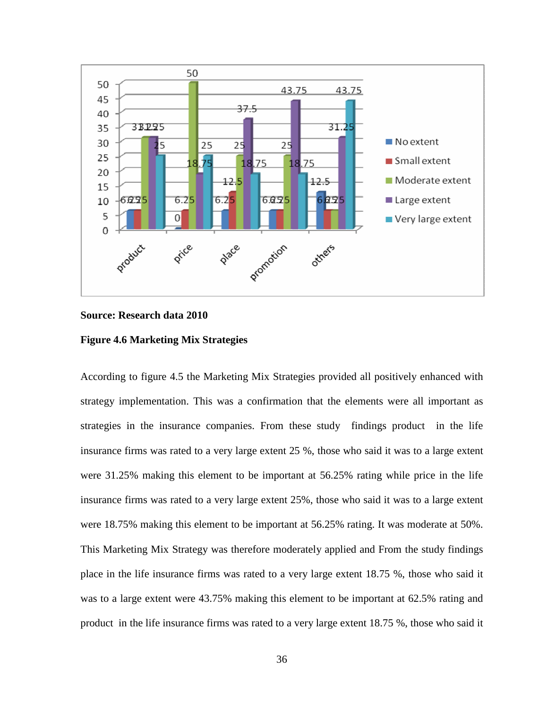

### **Source: Research data 2010**

#### **Figure 4.6 Marketing Mix Strategies**

According to figure 4.5 the Marketing Mix Strategies provided all positively enhanced with strategy implementation. This was a confirmation that the elements were all important as strategies in the insurance companies. From these study findings product in the life insurance firms was rated to a very large extent 25 %, those who said it was to a large extent were 31.25% making this element to be important at 56.25% rating while price in the life insurance firms was rated to a very large extent 25%, those who said it was to a large extent were 18.75% making this element to be important at 56.25% rating. It was moderate at 50%. This Marketing Mix Strategy was therefore moderately applied and From the study findings place in the life insurance firms was rated to a very large extent 18.75 %, those who said it was to a large extent were 43.75% making this element to be important at 62.5% rating and product in the life insurance firms was rated to a very large extent 18.75 %, those who said it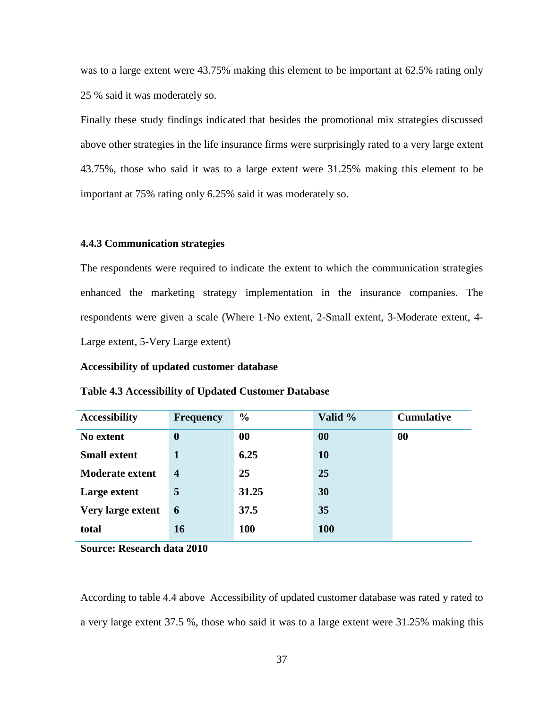was to a large extent were 43.75% making this element to be important at 62.5% rating only 25 % said it was moderately so.

Finally these study findings indicated that besides the promotional mix strategies discussed above other strategies in the life insurance firms were surprisingly rated to a very large extent 43.75%, those who said it was to a large extent were 31.25% making this element to be important at 75% rating only 6.25% said it was moderately so.

#### **4.4.3 Communication strategies**

The respondents were required to indicate the extent to which the communication strategies enhanced the marketing strategy implementation in the insurance companies. The respondents were given a scale (Where 1-No extent, 2-Small extent, 3-Moderate extent, 4- Large extent, 5-Very Large extent)

#### **Accessibility of updated customer database**

| <b>Accessibility</b>   | <b>Frequency</b> | $\frac{0}{0}$ | Valid %    | <b>Cumulative</b> |
|------------------------|------------------|---------------|------------|-------------------|
| No extent              | $\bf{0}$         | 00            | 00         | 00                |
| <b>Small extent</b>    | 1                | 6.25          | <b>10</b>  |                   |
| <b>Moderate extent</b> | $\boldsymbol{4}$ | 25            | 25         |                   |
| Large extent           | 5                | 31.25         | 30         |                   |
| Very large extent      | 6                | 37.5          | 35         |                   |
| total                  | <b>16</b>        | <b>100</b>    | <b>100</b> |                   |

#### **Table 4.3 Accessibility of Updated Customer Database**

**Source: Research data 2010** 

According to table 4.4 above Accessibility of updated customer database was rated y rated to a very large extent 37.5 %, those who said it was to a large extent were 31.25% making this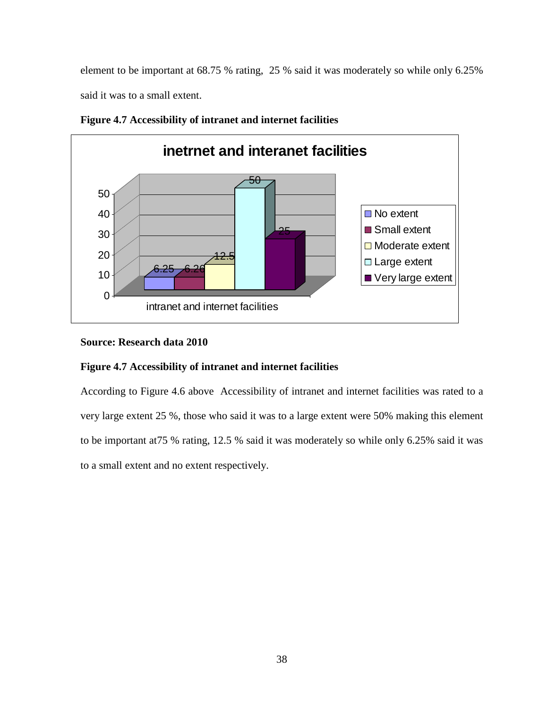element to be important at 68.75 % rating, 25 % said it was moderately so while only 6.25% said it was to a small extent.



**Figure 4.7 Accessibility of intranet and internet facilities** 

# **Source: Research data 2010**

# **Figure 4.7 Accessibility of intranet and internet facilities**

According to Figure 4.6 above Accessibility of intranet and internet facilities was rated to a very large extent 25 %, those who said it was to a large extent were 50% making this element to be important at75 % rating, 12.5 % said it was moderately so while only 6.25% said it was to a small extent and no extent respectively.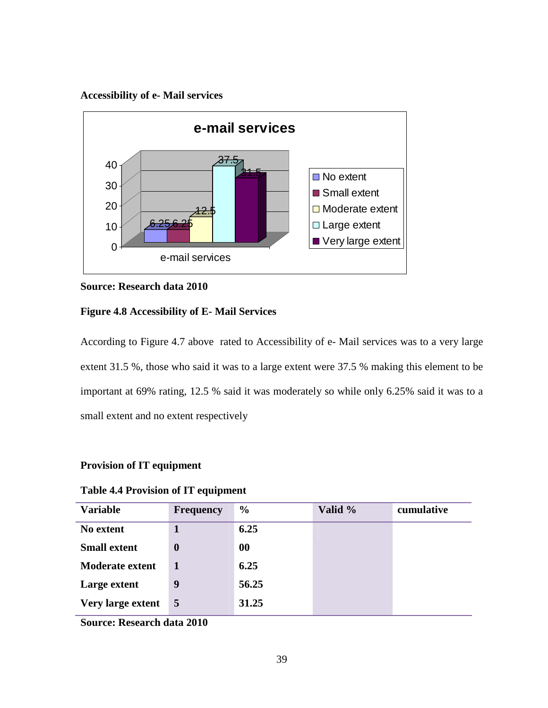## **Accessibility of e- Mail services**



## **Source: Research data 2010**

## **Figure 4.8 Accessibility of E- Mail Services**

According to Figure 4.7 above rated to Accessibility of e- Mail services was to a very large extent 31.5 %, those who said it was to a large extent were 37.5 % making this element to be important at 69% rating, 12.5 % said it was moderately so while only 6.25% said it was to a small extent and no extent respectively

### **Provision of IT equipment**

| <b>Variable</b>        | <b>Frequency</b> | $\frac{6}{9}$ | Valid % | cumulative |
|------------------------|------------------|---------------|---------|------------|
| No extent              |                  | 6.25          |         |            |
| <b>Small extent</b>    | $\boldsymbol{0}$ | $\bf{00}$     |         |            |
| <b>Moderate extent</b> |                  | 6.25          |         |            |
| Large extent           | 9                | 56.25         |         |            |
| Very large extent      | $\overline{5}$   | 31.25         |         |            |

## **Table 4.4 Provision of IT equipment**

**Source: Research data 2010**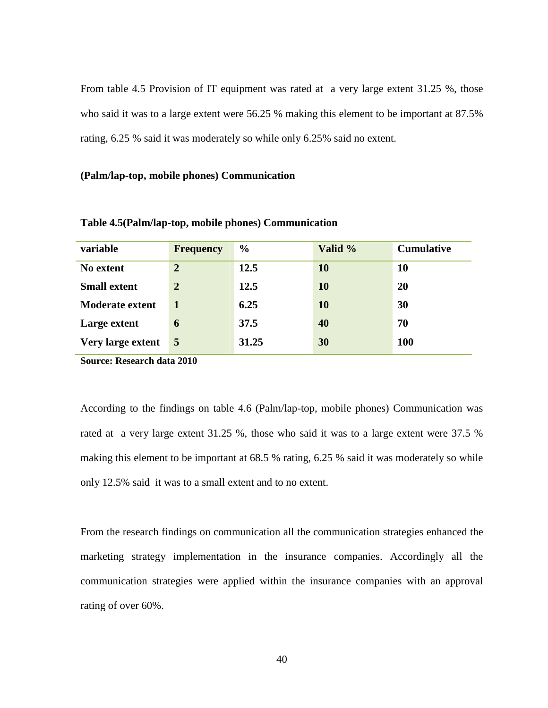From table 4.5 Provision of IT equipment was rated ata very large extent 31.25 %, those who said it was to a large extent were 56.25 % making this element to be important at 87.5% rating, 6.25 % said it was moderately so while only 6.25% said no extent.

#### **(Palm/lap-top, mobile phones) Communication**

| variable               | <b>Frequency</b> | $\frac{0}{0}$ | Valid %   | <b>Cumulative</b> |
|------------------------|------------------|---------------|-----------|-------------------|
| No extent              | $\mathbf{2}$     | 12.5          | 10        | 10                |
| <b>Small extent</b>    | $\overline{2}$   | 12.5          | <b>10</b> | 20                |
| <b>Moderate extent</b> |                  | 6.25          | <b>10</b> | 30                |
| Large extent           | 6                | 37.5          | 40        | 70                |
| Very large extent      | $5\overline{5}$  | 31.25         | 30        | <b>100</b>        |

**Table 4.5(Palm/lap-top, mobile phones) Communication** 

**Source: Research data 2010**

According to the findings on table 4.6 (Palm/lap-top, mobile phones) Communication was rated at a very large extent 31.25 %, those who said it was to a large extent were 37.5 % making this element to be important at 68.5 % rating, 6.25 % said it was moderately so while only 12.5% said it was to a small extent and to no extent.

From the research findings on communication all the communication strategies enhanced the marketing strategy implementation in the insurance companies. Accordingly all the communication strategies were applied within the insurance companies with an approval rating of over 60%.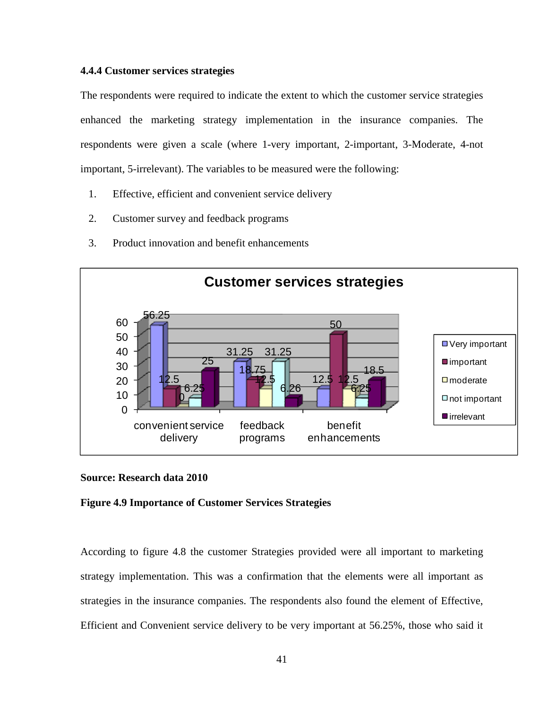#### **4.4.4 Customer services strategies**

The respondents were required to indicate the extent to which the customer service strategies enhanced the marketing strategy implementation in the insurance companies. The respondents were given a scale (where 1-very important, 2-important, 3-Moderate, 4-not important, 5-irrelevant). The variables to be measured were the following:

- 1. Effective, efficient and convenient service delivery
- 2. Customer survey and feedback programs
- 3. Product innovation and benefit enhancements



### **Source: Research data 2010**

#### **Figure 4.9 Importance of Customer Services Strategies**

According to figure 4.8 the customer Strategies provided were all important to marketing strategy implementation. This was a confirmation that the elements were all important as strategies in the insurance companies. The respondents also found the element of Effective, Efficient and Convenient service delivery to be very important at 56.25%, those who said it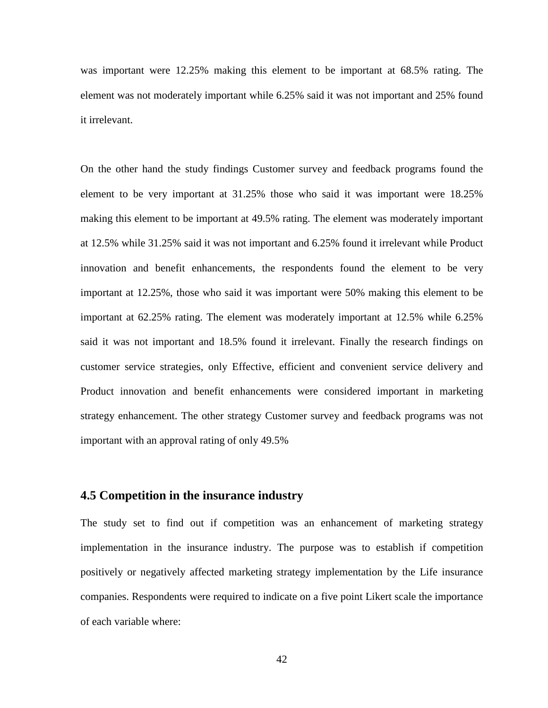was important were 12.25% making this element to be important at 68.5% rating. The element was not moderately important while 6.25% said it was not important and 25% found it irrelevant.

On the other hand the study findings Customer survey and feedback programs found the element to be very important at 31.25% those who said it was important were 18.25% making this element to be important at 49.5% rating. The element was moderately important at 12.5% while 31.25% said it was not important and 6.25% found it irrelevant while Product innovation and benefit enhancements, the respondents found the element to be very important at 12.25%, those who said it was important were 50% making this element to be important at 62.25% rating. The element was moderately important at 12.5% while 6.25% said it was not important and 18.5% found it irrelevant. Finally the research findings on customer service strategies, only Effective, efficient and convenient service delivery and Product innovation and benefit enhancements were considered important in marketing strategy enhancement. The other strategy Customer survey and feedback programs was not important with an approval rating of only 49.5%

## **4.5 Competition in the insurance industry**

The study set to find out if competition was an enhancement of marketing strategy implementation in the insurance industry. The purpose was to establish if competition positively or negatively affected marketing strategy implementation by the Life insurance companies. Respondents were required to indicate on a five point Likert scale the importance of each variable where: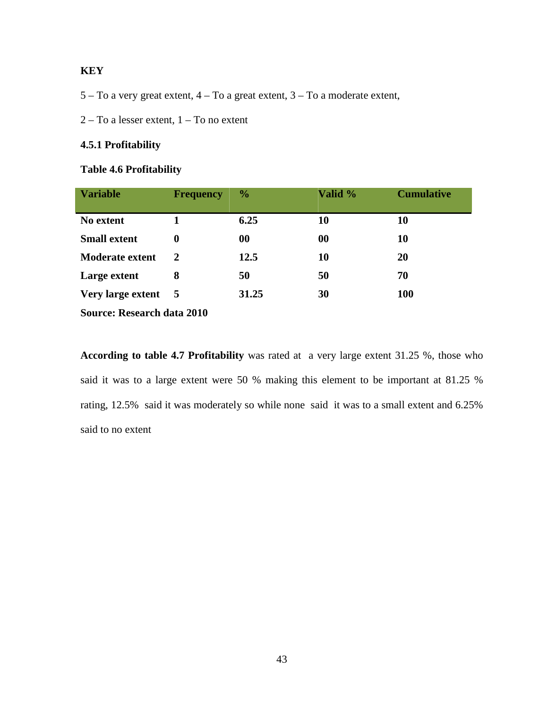# **KEY**

- 5 To a very great extent, 4 To a great extent, 3 To a moderate extent,
- 2 To a lesser extent, 1 To no extent

## **4.5.1 Profitability**

## **Table 4.6 Profitability**

| <b>Variable</b>                   | <b>Frequency</b> | $\frac{6}{9}$ | Valid % | <b>Cumulative</b> |
|-----------------------------------|------------------|---------------|---------|-------------------|
| No extent                         |                  | 6.25          | 10      | 10                |
| <b>Small extent</b>               | 0                | 00            | 00      | 10                |
| <b>Moderate extent</b>            | 2                | 12.5          | 10      | 20                |
| Large extent                      | 8                | 50            | 50      | 70                |
| Very large extent 5               |                  | 31.25         | 30      | <b>100</b>        |
| <b>Source: Research data 2010</b> |                  |               |         |                   |

**According to table 4.7 Profitability** was rated at a very large extent 31.25 %, those who said it was to a large extent were 50 % making this element to be important at 81.25 % rating, 12.5% said it was moderately so while none said it was to a small extent and 6.25% said to no extent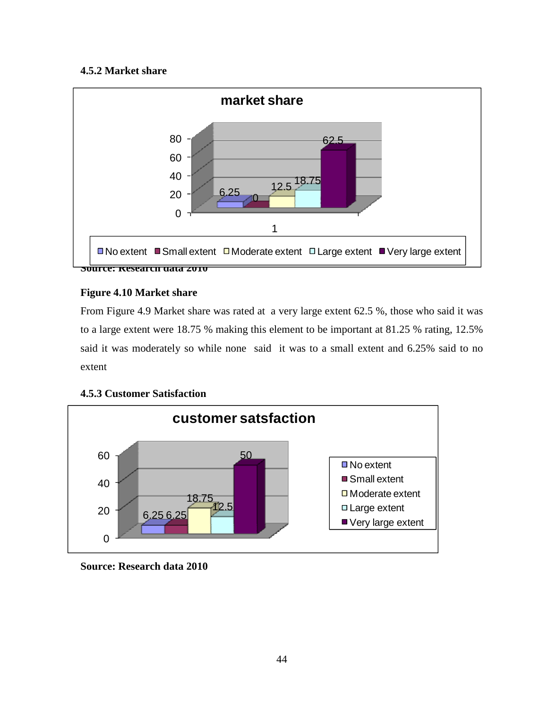# **4.5.2 Market share**



# **Figure 4.10 Market share**

From Figure 4.9 Market share was rated at a very large extent 62.5 %, those who said it was to a large extent were 18.75 % making this element to be important at 81.25 % rating, 12.5% said it was moderately so while none said it was to a small extent and 6.25% said to no extent



# **4.5.3 Customer Satisfaction**

**Source: Research data 2010**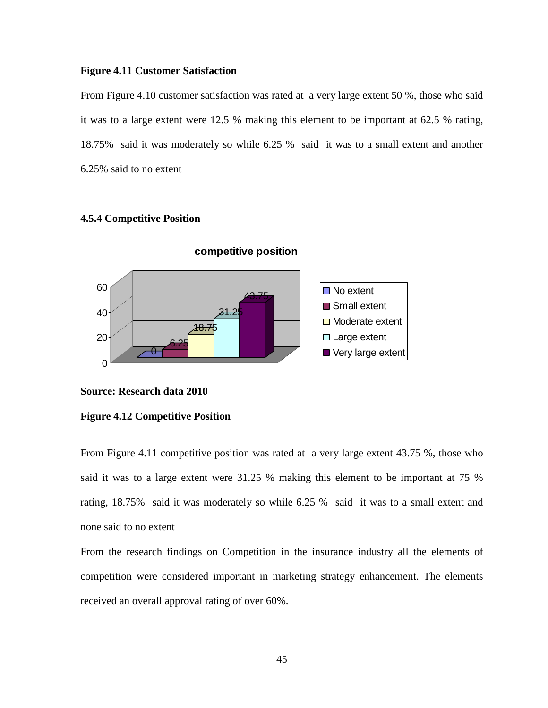#### **Figure 4.11 Customer Satisfaction**

From Figure 4.10 customer satisfaction was rated at a very large extent 50 %, those who said it was to a large extent were 12.5 % making this element to be important at 62.5 % rating, 18.75% said it was moderately so while 6.25 % said it was to a small extent and another 6.25% said to no extent



#### **4.5.4 Competitive Position**

#### **Source: Research data 2010**

#### **Figure 4.12 Competitive Position**

From Figure 4.11 competitive position was rated at a very large extent 43.75 %, those who said it was to a large extent were 31.25 % making this element to be important at 75 % rating, 18.75% said it was moderately so while 6.25 % said it was to a small extent and none said to no extent

From the research findings on Competition in the insurance industry all the elements of competition were considered important in marketing strategy enhancement. The elements received an overall approval rating of over 60%.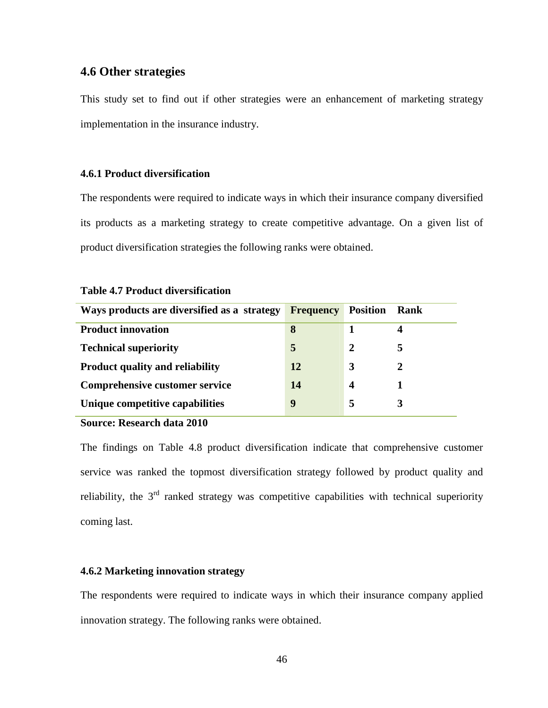# **4.6 Other strategies**

This study set to find out if other strategies were an enhancement of marketing strategy implementation in the insurance industry.

## **4.6.1 Product diversification**

The respondents were required to indicate ways in which their insurance company diversified its products as a marketing strategy to create competitive advantage. On a given list of product diversification strategies the following ranks were obtained.

| Ways products are diversified as a strategy | <b>Frequency</b> | <b>Position</b> | <b>Rank</b> |
|---------------------------------------------|------------------|-----------------|-------------|
| <b>Product innovation</b>                   | 8                |                 | 4           |
| <b>Technical superiority</b>                | 5                | 2               | 5           |
| <b>Product quality and reliability</b>      | 12               | 3               |             |
| Comprehensive customer service              | 14               | 4               |             |
| Unique competitive capabilities             | 9                | 5               |             |

#### **Table 4.7 Product diversification**

**Source: Research data 2010** 

The findings on Table 4.8 product diversification indicate that comprehensive customer service was ranked the topmost diversification strategy followed by product quality and reliability, the  $3<sup>rd</sup>$  ranked strategy was competitive capabilities with technical superiority coming last.

## **4.6.2 Marketing innovation strategy**

The respondents were required to indicate ways in which their insurance company applied innovation strategy. The following ranks were obtained.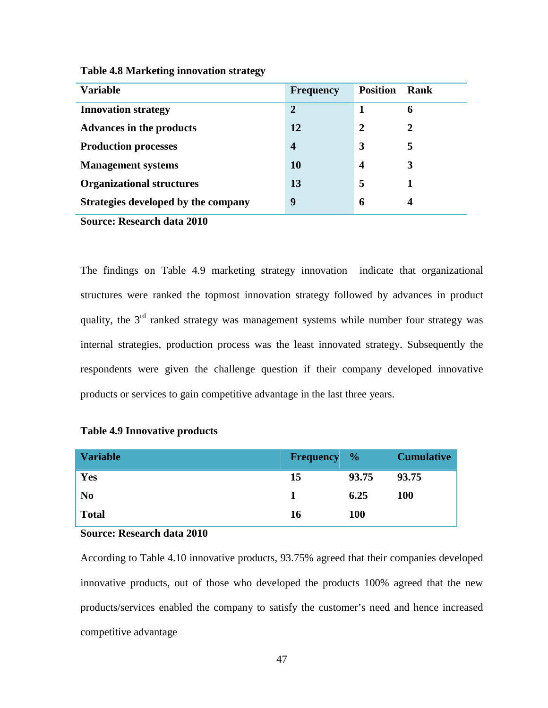| <b>Variable</b>                     | <b>Frequency</b> | <b>Position</b>  | Rank        |
|-------------------------------------|------------------|------------------|-------------|
| <b>Innovation strategy</b>          | $\overline{2}$   | 1                | 6           |
| <b>Advances in the products</b>     | 12               | $\mathbf{2}$     | $\mathbf 2$ |
| <b>Production processes</b>         | $\boldsymbol{4}$ | 3                | 5           |
| <b>Management systems</b>           | 10               | $\boldsymbol{4}$ | 3           |
| <b>Organizational structures</b>    | 13               | 5                |             |
| Strategies developed by the company | 9                | 6                | 4           |

**Table 4.8 Marketing innovation strategy** 

**Source: Research data 2010** 

The findings on Table 4.9 marketing strategy innovation indicate that organizational structures were ranked the topmost innovation strategy followed by advances in product quality, the  $3<sup>rd</sup>$  ranked strategy was management systems while number four strategy was internal strategies, production process was the least innovated strategy. Subsequently the respondents were given the challenge question if their company developed innovative products or services to gain competitive advantage in the last three years.

| <b>Variable</b> | <b>Frequency</b> % |            | <b>Cumulative</b> |
|-----------------|--------------------|------------|-------------------|
| Yes             | 15                 | 93.75      | 93.75             |
| N <sub>0</sub>  |                    | 6.25       | <b>100</b>        |
| <b>Total</b>    | 16                 | <b>100</b> |                   |

## **Table 4.9 Innovative products**

## **Source: Research data 2010**

According to Table 4.10 innovative products, 93.75% agreed that their companies developed innovative products, out of those who developed the products 100% agreed that the new products/services enabled the company to satisfy the customer's need and hence increased competitive advantage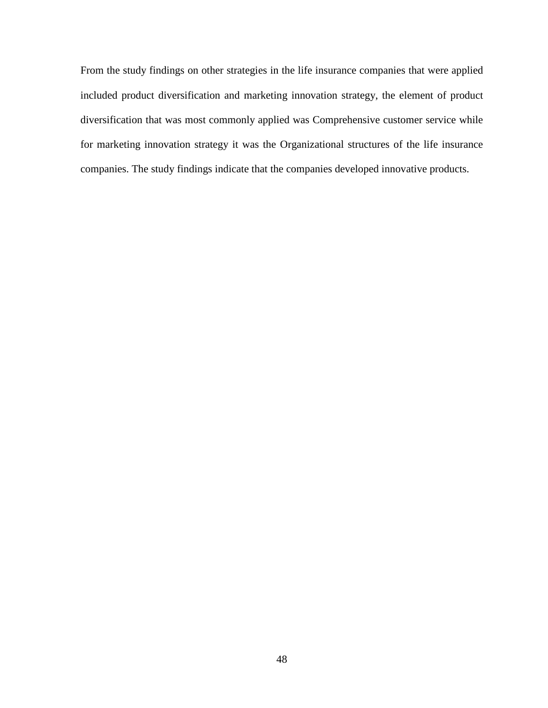From the study findings on other strategies in the life insurance companies that were applied included product diversification and marketing innovation strategy, the element of product diversification that was most commonly applied was Comprehensive customer service while for marketing innovation strategy it was the Organizational structures of the life insurance companies. The study findings indicate that the companies developed innovative products.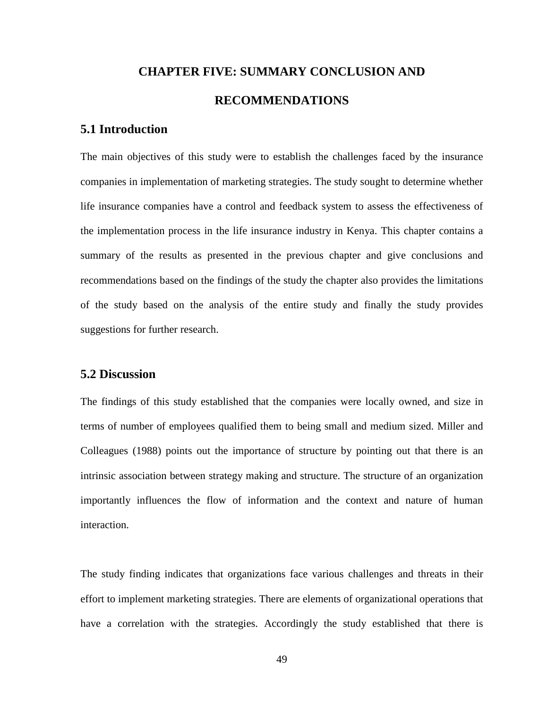# **CHAPTER FIVE: SUMMARY CONCLUSION AND RECOMMENDATIONS**

# **5.1 Introduction**

The main objectives of this study were to establish the challenges faced by the insurance companies in implementation of marketing strategies. The study sought to determine whether life insurance companies have a control and feedback system to assess the effectiveness of the implementation process in the life insurance industry in Kenya. This chapter contains a summary of the results as presented in the previous chapter and give conclusions and recommendations based on the findings of the study the chapter also provides the limitations of the study based on the analysis of the entire study and finally the study provides suggestions for further research.

# **5.2 Discussion**

The findings of this study established that the companies were locally owned, and size in terms of number of employees qualified them to being small and medium sized. Miller and Colleagues (1988) points out the importance of structure by pointing out that there is an intrinsic association between strategy making and structure. The structure of an organization importantly influences the flow of information and the context and nature of human interaction.

The study finding indicates that organizations face various challenges and threats in their effort to implement marketing strategies. There are elements of organizational operations that have a correlation with the strategies. Accordingly the study established that there is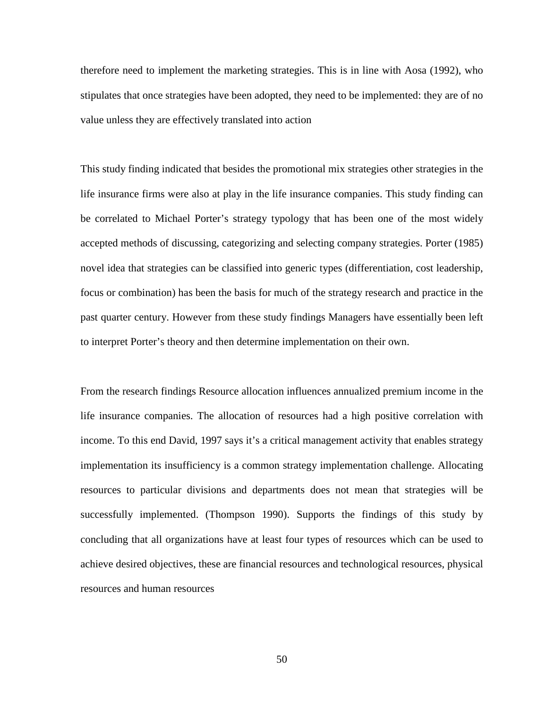therefore need to implement the marketing strategies. This is in line with Aosa (1992), who stipulates that once strategies have been adopted, they need to be implemented: they are of no value unless they are effectively translated into action

This study finding indicated that besides the promotional mix strategies other strategies in the life insurance firms were also at play in the life insurance companies. This study finding can be correlated to Michael Porter's strategy typology that has been one of the most widely accepted methods of discussing, categorizing and selecting company strategies. Porter (1985) novel idea that strategies can be classified into generic types (differentiation, cost leadership, focus or combination) has been the basis for much of the strategy research and practice in the past quarter century. However from these study findings Managers have essentially been left to interpret Porter's theory and then determine implementation on their own.

From the research findings Resource allocation influences annualized premium income in the life insurance companies. The allocation of resources had a high positive correlation with income. To this end David, 1997 says it's a critical management activity that enables strategy implementation its insufficiency is a common strategy implementation challenge. Allocating resources to particular divisions and departments does not mean that strategies will be successfully implemented. (Thompson 1990). Supports the findings of this study by concluding that all organizations have at least four types of resources which can be used to achieve desired objectives, these are financial resources and technological resources, physical resources and human resources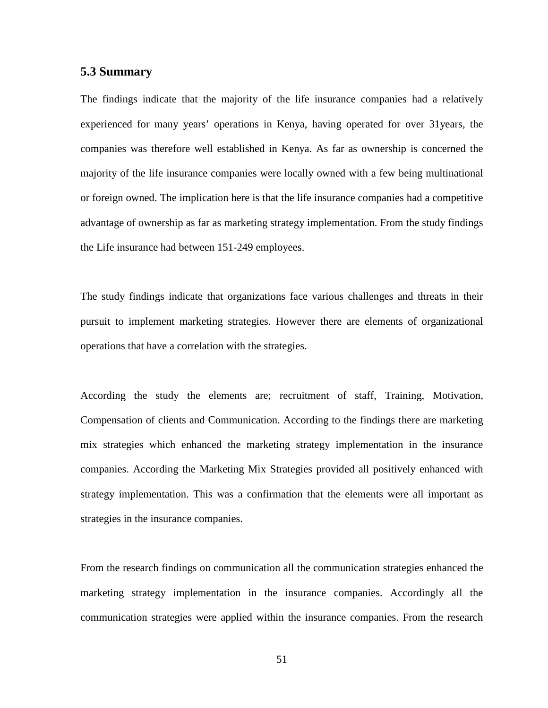## **5.3 Summary**

The findings indicate that the majority of the life insurance companies had a relatively experienced for many years' operations in Kenya, having operated for over 31years, the companies was therefore well established in Kenya. As far as ownership is concerned the majority of the life insurance companies were locally owned with a few being multinational or foreign owned. The implication here is that the life insurance companies had a competitive advantage of ownership as far as marketing strategy implementation. From the study findings the Life insurance had between 151-249 employees.

The study findings indicate that organizations face various challenges and threats in their pursuit to implement marketing strategies. However there are elements of organizational operations that have a correlation with the strategies.

According the study the elements are; recruitment of staff, Training, Motivation, Compensation of clients and Communication. According to the findings there are marketing mix strategies which enhanced the marketing strategy implementation in the insurance companies. According the Marketing Mix Strategies provided all positively enhanced with strategy implementation. This was a confirmation that the elements were all important as strategies in the insurance companies.

From the research findings on communication all the communication strategies enhanced the marketing strategy implementation in the insurance companies. Accordingly all the communication strategies were applied within the insurance companies. From the research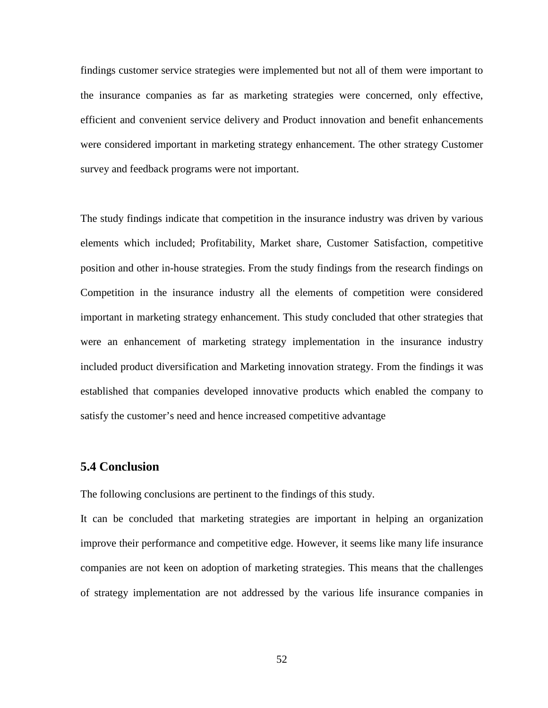findings customer service strategies were implemented but not all of them were important to the insurance companies as far as marketing strategies were concerned, only effective, efficient and convenient service delivery and Product innovation and benefit enhancements were considered important in marketing strategy enhancement. The other strategy Customer survey and feedback programs were not important.

The study findings indicate that competition in the insurance industry was driven by various elements which included; Profitability, Market share, Customer Satisfaction, competitive position and other in-house strategies. From the study findings from the research findings on Competition in the insurance industry all the elements of competition were considered important in marketing strategy enhancement. This study concluded that other strategies that were an enhancement of marketing strategy implementation in the insurance industry included product diversification and Marketing innovation strategy. From the findings it was established that companies developed innovative products which enabled the company to satisfy the customer's need and hence increased competitive advantage

## **5.4 Conclusion**

The following conclusions are pertinent to the findings of this study.

It can be concluded that marketing strategies are important in helping an organization improve their performance and competitive edge. However, it seems like many life insurance companies are not keen on adoption of marketing strategies. This means that the challenges of strategy implementation are not addressed by the various life insurance companies in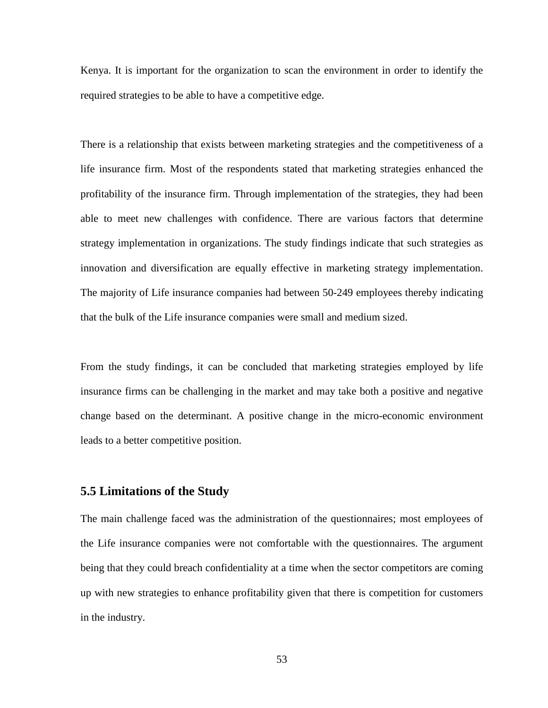Kenya. It is important for the organization to scan the environment in order to identify the required strategies to be able to have a competitive edge.

There is a relationship that exists between marketing strategies and the competitiveness of a life insurance firm. Most of the respondents stated that marketing strategies enhanced the profitability of the insurance firm. Through implementation of the strategies, they had been able to meet new challenges with confidence. There are various factors that determine strategy implementation in organizations. The study findings indicate that such strategies as innovation and diversification are equally effective in marketing strategy implementation. The majority of Life insurance companies had between 50-249 employees thereby indicating that the bulk of the Life insurance companies were small and medium sized.

From the study findings, it can be concluded that marketing strategies employed by life insurance firms can be challenging in the market and may take both a positive and negative change based on the determinant. A positive change in the micro-economic environment leads to a better competitive position.

## **5.5 Limitations of the Study**

The main challenge faced was the administration of the questionnaires; most employees of the Life insurance companies were not comfortable with the questionnaires. The argument being that they could breach confidentiality at a time when the sector competitors are coming up with new strategies to enhance profitability given that there is competition for customers in the industry.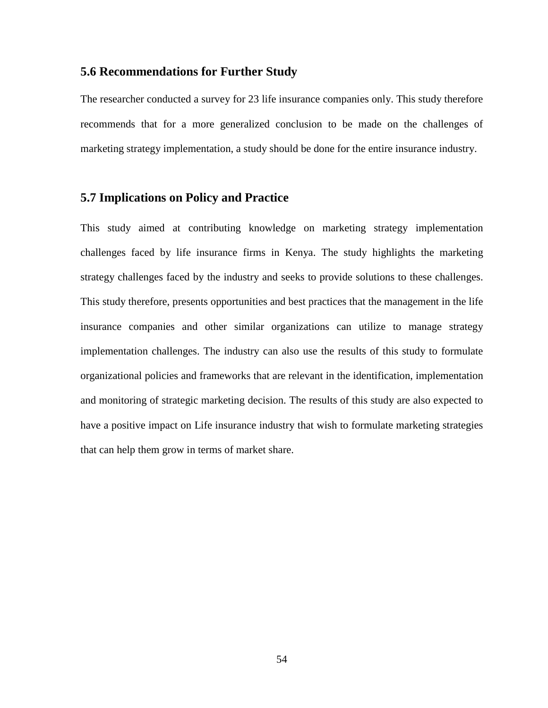# **5.6 Recommendations for Further Study**

The researcher conducted a survey for 23 life insurance companies only. This study therefore recommends that for a more generalized conclusion to be made on the challenges of marketing strategy implementation, a study should be done for the entire insurance industry.

# **5.7 Implications on Policy and Practice**

This study aimed at contributing knowledge on marketing strategy implementation challenges faced by life insurance firms in Kenya. The study highlights the marketing strategy challenges faced by the industry and seeks to provide solutions to these challenges. This study therefore, presents opportunities and best practices that the management in the life insurance companies and other similar organizations can utilize to manage strategy implementation challenges. The industry can also use the results of this study to formulate organizational policies and frameworks that are relevant in the identification, implementation and monitoring of strategic marketing decision. The results of this study are also expected to have a positive impact on Life insurance industry that wish to formulate marketing strategies that can help them grow in terms of market share.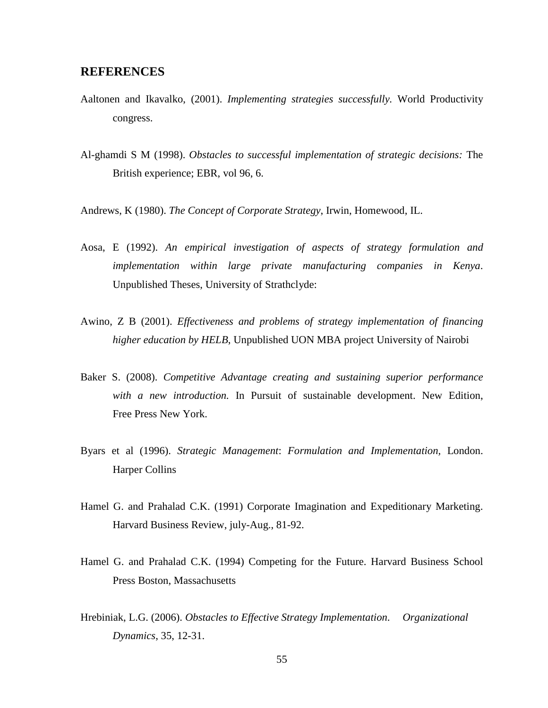## **REFERENCES**

- Aaltonen and Ikavalko, (2001). *Implementing strategies successfully.* World Productivity congress.
- Al-ghamdi S M (1998). *Obstacles to successful implementation of strategic decisions:* The British experience; EBR, vol 96, 6.
- Andrews, K (1980). *The Concept of Corporate Strategy*, Irwin, Homewood, IL.
- Aosa, E (1992). *An empirical investigation of aspects of strategy formulation and implementation within large private manufacturing companies in Kenya*. Unpublished Theses, University of Strathclyde:
- Awino, Z B (2001). *Effectiveness and problems of strategy implementation of financing higher education by HELB*, Unpublished UON MBA project University of Nairobi
- Baker S. (2008). *Competitive Advantage creating and sustaining superior performance with a new introduction.* In Pursuit of sustainable development. New Edition, Free Press New York.
- Byars et al (1996). *Strategic Management*: *Formulation and Implementation,* London. Harper Collins
- Hamel G. and Prahalad C.K. (1991) Corporate Imagination and Expeditionary Marketing. Harvard Business Review, july-Aug., 81-92.
- Hamel G. and Prahalad C.K. (1994) Competing for the Future. Harvard Business School Press Boston, Massachusetts
- Hrebiniak, L.G. (2006). *Obstacles to Effective Strategy Implementation*. *Organizational Dynamics*, 35, 12-31.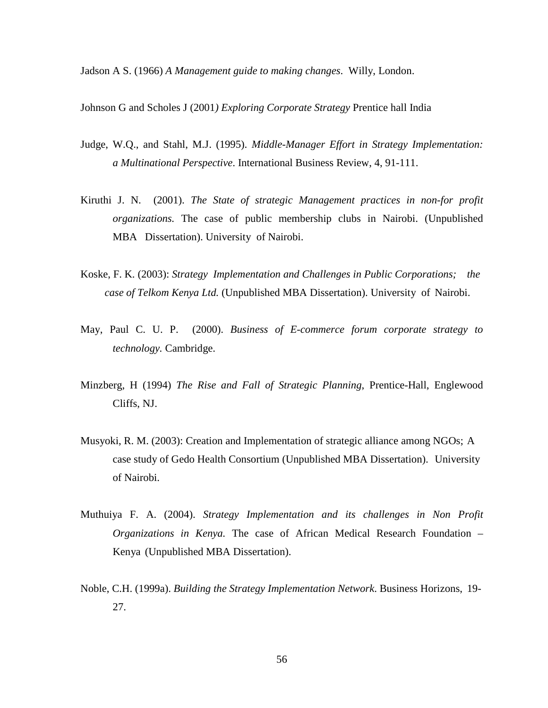Jadson A S. (1966) *A Management guide to making changes*. Willy, London.

Johnson G and Scholes J (2001*) Exploring Corporate Strategy* Prentice hall India

- Judge, W.Q., and Stahl, M.J. (1995). *Middle-Manager Effort in Strategy Implementation: a Multinational Perspective*. International Business Review, 4, 91-111.
- Kiruthi J. N. (2001). *The State of strategic Management practices in non-for profit organizations.* The case of public membership clubs in Nairobi. (Unpublished MBA Dissertation). University of Nairobi.
- Koske, F. K. (2003): *Strategy Implementation and Challenges in Public Corporations; the case of Telkom Kenya Ltd.* (Unpublished MBA Dissertation). University of Nairobi.
- May, Paul C. U. P. (2000). *Business of E-commerce forum corporate strategy to technology.* Cambridge.
- Minzberg, H (1994) *The Rise and Fall of Strategic Planning*, Prentice-Hall, Englewood Cliffs, NJ.
- Musyoki, R. M. (2003): Creation and Implementation of strategic alliance among NGOs; A case study of Gedo Health Consortium (Unpublished MBA Dissertation). University of Nairobi.
- Muthuiya F. A. (2004). *Strategy Implementation and its challenges in Non Profit Organizations in Kenya.* The case of African Medical Research Foundation – Kenya (Unpublished MBA Dissertation).
- Noble, C.H. (1999a). *Building the Strategy Implementation Network*. Business Horizons, 19- 27.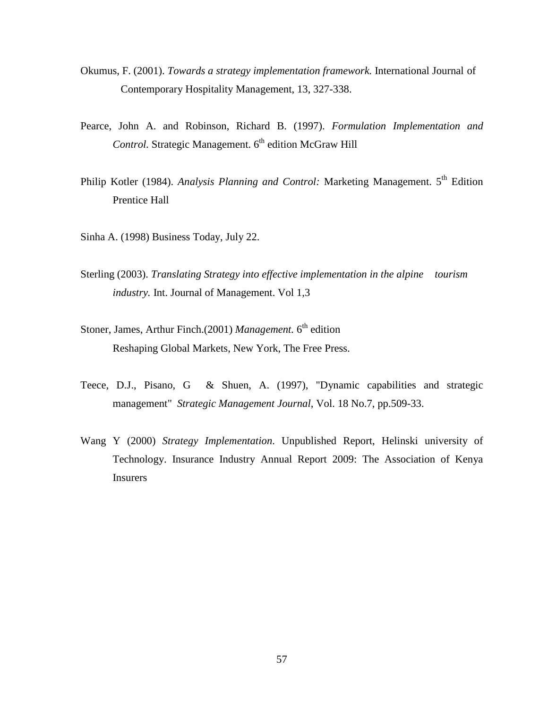- Okumus, F. (2001). *Towards a strategy implementation framework.* International Journal of Contemporary Hospitality Management, 13, 327-338.
- Pearce, John A. and Robinson, Richard B. (1997). *Formulation Implementation and Control.* Strategic Management. 6<sup>th</sup> edition McGraw Hill
- Philip Kotler (1984). *Analysis Planning and Control: Marketing Management.* 5<sup>th</sup> Edition Prentice Hall
- Sinha A. (1998) Business Today, July 22.
- Sterling (2003). *Translating Strategy into effective implementation in the alpine tourism industry.* Int. Journal of Management. Vol 1,3
- Stoner, James, Arthur Finch.(2001) *Management*. 6<sup>th</sup> edition Reshaping Global Markets, New York, The Free Press.
- Teece, D.J., Pisano, G & Shuen, A. (1997), "Dynamic capabilities and strategic management" *Strategic Management Journal*, Vol. 18 No.7, pp.509-33.
- Wang Y (2000) *Strategy Implementation*. Unpublished Report, Helinski university of Technology. Insurance Industry Annual Report 2009: The Association of Kenya Insurers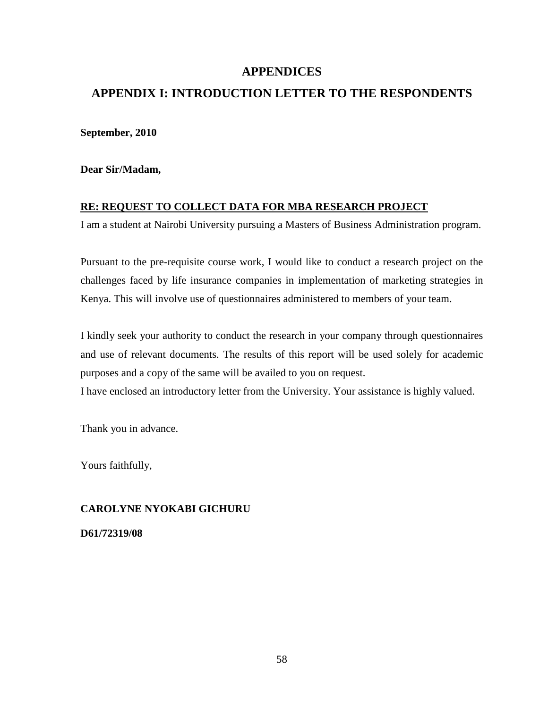# **APPENDICES**

# **APPENDIX I: INTRODUCTION LETTER TO THE RESPONDENTS**

**September, 2010** 

**Dear Sir/Madam,** 

## **RE: REQUEST TO COLLECT DATA FOR MBA RESEARCH PROJECT**

I am a student at Nairobi University pursuing a Masters of Business Administration program.

Pursuant to the pre-requisite course work, I would like to conduct a research project on the challenges faced by life insurance companies in implementation of marketing strategies in Kenya. This will involve use of questionnaires administered to members of your team.

I kindly seek your authority to conduct the research in your company through questionnaires and use of relevant documents. The results of this report will be used solely for academic purposes and a copy of the same will be availed to you on request.

I have enclosed an introductory letter from the University. Your assistance is highly valued.

Thank you in advance.

Yours faithfully,

# **CAROLYNE NYOKABI GICHURU**

**D61/72319/08**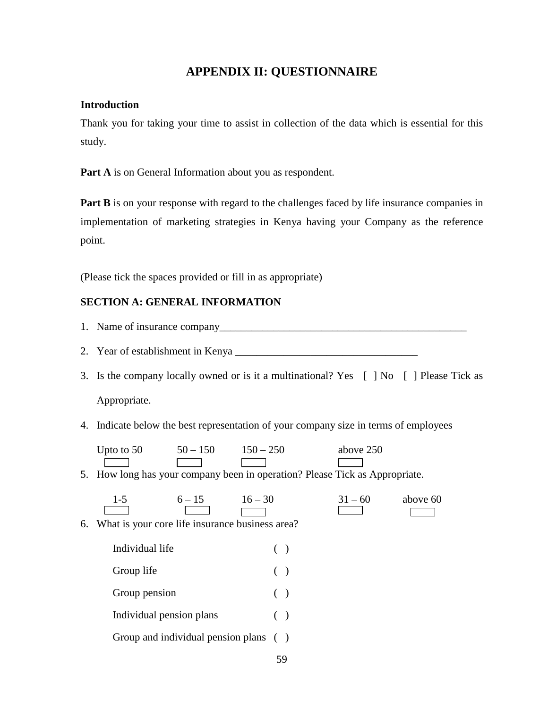# **APPENDIX II: QUESTIONNAIRE**

## **Introduction**

Thank you for taking your time to assist in collection of the data which is essential for this study.

Part A is on General Information about you as respondent.

**Part B** is on your response with regard to the challenges faced by life insurance companies in implementation of marketing strategies in Kenya having your Company as the reference point.

(Please tick the spaces provided or fill in as appropriate)

## **SECTION A: GENERAL INFORMATION**

- 1. Name of insurance company\_\_\_\_\_\_\_\_\_\_\_\_\_\_\_\_\_\_\_\_\_\_\_\_\_\_\_\_\_\_\_\_\_\_\_\_\_\_\_\_\_\_\_\_\_\_
- 2. Year of establishment in Kenya \_\_\_\_\_\_\_\_\_\_\_\_\_\_\_\_\_\_\_\_\_\_\_\_\_\_\_\_\_\_\_\_\_\_
- 3. Is the company locally owned or is it a multinational? Yes [ ] No [ ] Please Tick as Appropriate.
- 4. Indicate below the best representation of your company size in terms of employees

| Upto to $50$ | $50 - 150$                                                                                                                                                                                                                     | $150 - 250$                                                                 | above 250 |
|--------------|--------------------------------------------------------------------------------------------------------------------------------------------------------------------------------------------------------------------------------|-----------------------------------------------------------------------------|-----------|
|              | and the contract of the contract of the contract of the contract of the contract of the contract of the contract of the contract of the contract of the contract of the contract of the contract of the contract of the contra |                                                                             |           |
|              |                                                                                                                                                                                                                                | 5. How long has your company been in operation? Please Tick as Appropriate. |           |

 $\begin{array}{|c|c|c|c|c|}\n\hline\n1-5 & 6-15 & 16-30 & 31-60 & \text{above 60} \\
\hline\n\end{array}$ 

6. What is your core life insurance business area?

Individual life ( ) Group life ( ) Group pension ( ) Individual pension plans ( ) Group and individual pension plans ()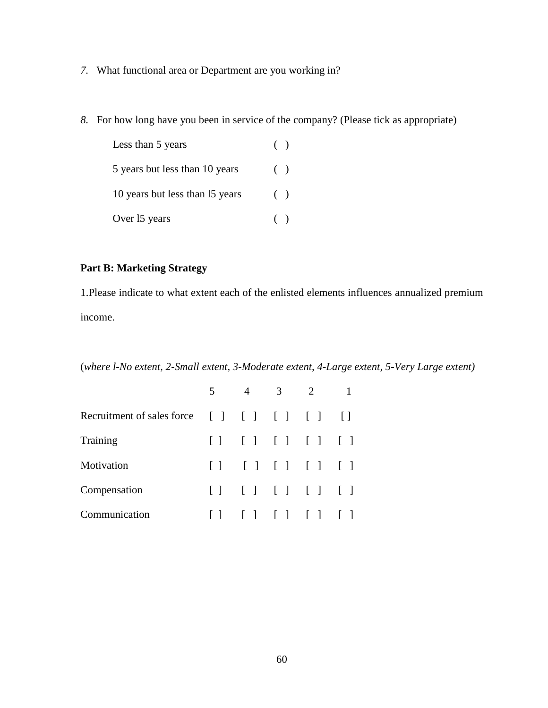- *7.* What functional area or Department are you working in?
- *8.* For how long have you been in service of the company? (Please tick as appropriate)

| Less than 5 years               | (     |  |
|---------------------------------|-------|--|
| 5 years but less than 10 years  | $($ ) |  |
| 10 years but less than 15 years | (     |  |
| Over 15 years                   | $($ ) |  |

# **Part B: Marketing Strategy**

1.Please indicate to what extent each of the enlisted elements influences annualized premium income.

(*where l-No extent, 2-Small extent, 3-Moderate extent, 4-Large extent, 5-Very Large extent)* 

|                                                | 5 <sup>7</sup> |                         | $4 \quad 3 \quad 2$ |                     |  |
|------------------------------------------------|----------------|-------------------------|---------------------|---------------------|--|
| Recruitment of sales force [ ] [ ] [ ] [ ] [ ] |                |                         |                     |                     |  |
| Training                                       |                | [ ] [ ] [ ] [ ] [ ] [ ] |                     |                     |  |
| Motivation                                     |                | [ ] [ ] [ ] [ ] [ ] [ ] |                     |                     |  |
| Compensation                                   |                | [ ] [ ] [ ] [ ] [ ] [ ] |                     |                     |  |
| Communication                                  | $\mathbf{1}$   |                         |                     | [ ] [ ] [ ] [ ] [ ] |  |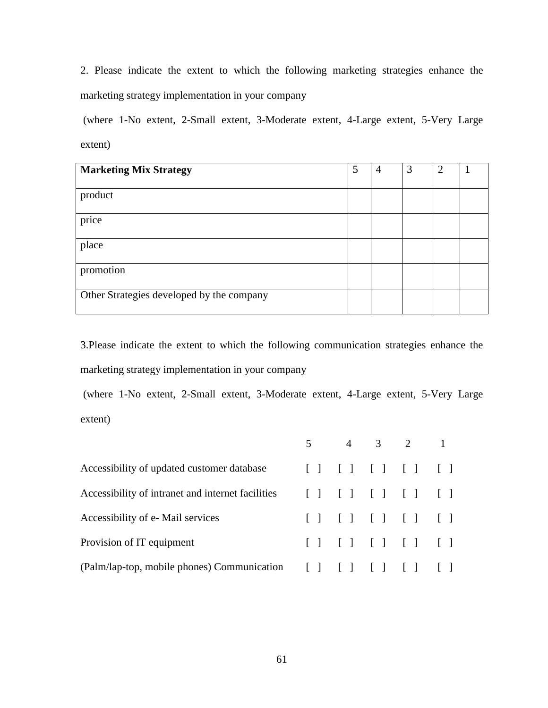2. Please indicate the extent to which the following marketing strategies enhance the marketing strategy implementation in your company

 (where 1-No extent, 2-Small extent, 3-Moderate extent, 4-Large extent, 5-Very Large extent)

| <b>Marketing Mix Strategy</b>             | 5 | $\overline{4}$ | 3 | 2 |  |
|-------------------------------------------|---|----------------|---|---|--|
| product                                   |   |                |   |   |  |
| price                                     |   |                |   |   |  |
| place                                     |   |                |   |   |  |
| promotion                                 |   |                |   |   |  |
| Other Strategies developed by the company |   |                |   |   |  |

3.Please indicate the extent to which the following communication strategies enhance the marketing strategy implementation in your company

 (where 1-No extent, 2-Small extent, 3-Moderate extent, 4-Large extent, 5-Very Large extent)

|                                                                           |  | 5 4 3 2 1                     |  |
|---------------------------------------------------------------------------|--|-------------------------------|--|
| Accessibility of updated customer database                                |  | [ ] [ ] [ ] [ ] [ ] [ ]       |  |
| Accessibility of intranet and internet facilities [ ] [ ] [ ] [ ] [ ] [ ] |  |                               |  |
| Accessibility of e-Mail services                                          |  | $[ ] [ ] [ ] [ ] [ ] [ ] [ ]$ |  |
| Provision of IT equipment                                                 |  | $[ ] [ ] [ ] [ ] [ ] [ ] [ ]$ |  |
| (Palm/lap-top, mobile phones) Communication [ ] [ ] [ ] [ ] [ ] [ ]       |  |                               |  |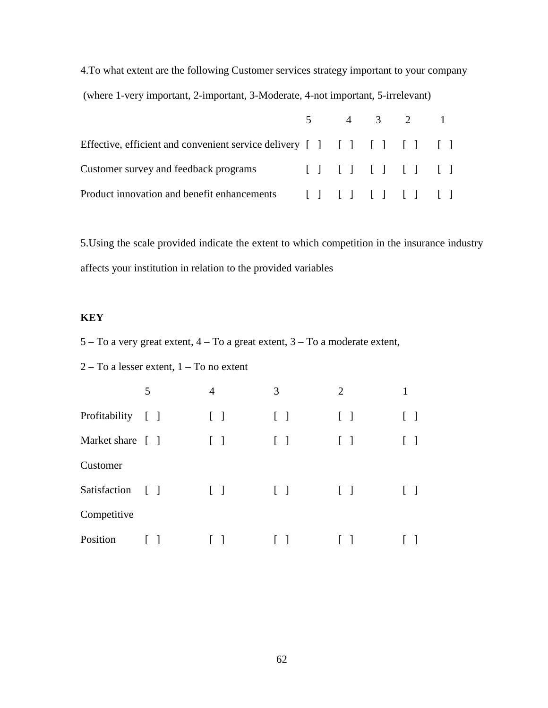4.To what extent are the following Customer services strategy important to your company (where 1-very important, 2-important, 3-Moderate, 4-not important, 5-irrelevant)

|                                                                              |  | $5 \t 4 \t 3 \t 2 \t 1$ |  |
|------------------------------------------------------------------------------|--|-------------------------|--|
| Effective, efficient and convenient service delivery [ ] [ ] [ ] [ ] [ ] [ ] |  |                         |  |
| Customer survey and feedback programs [ ] [ ] [ ] [ ] [ ] [ ]                |  |                         |  |
| Product innovation and benefit enhancements [ ] [ ] [ ] [ ] [ ] [ ]          |  |                         |  |

5.Using the scale provided indicate the extent to which competition in the insurance industry affects your institution in relation to the provided variables

## **KEY**

5 – To a very great extent, 4 – To a great extent, 3 – To a moderate extent,

## 2 – To a lesser extent, 1 – To no extent

|                   | 5            | 4                                 | 3                 | $\overline{2}$ | 1 |
|-------------------|--------------|-----------------------------------|-------------------|----------------|---|
| Profitability [ ] |              | $\begin{bmatrix} 1 \end{bmatrix}$ | $\Box$            | $\Box$         |   |
| Market share [ ]  |              | $\Box$                            | $\mathbf{1}$      | $\Box$         |   |
| Customer          |              |                                   |                   |                |   |
| Satisfaction      | $\Box$       | $\mathbf{I}$                      | $\lceil - \rceil$ | $\Box$         |   |
| Competitive       |              |                                   |                   |                |   |
| Position          | $\mathsf{L}$ |                                   |                   |                |   |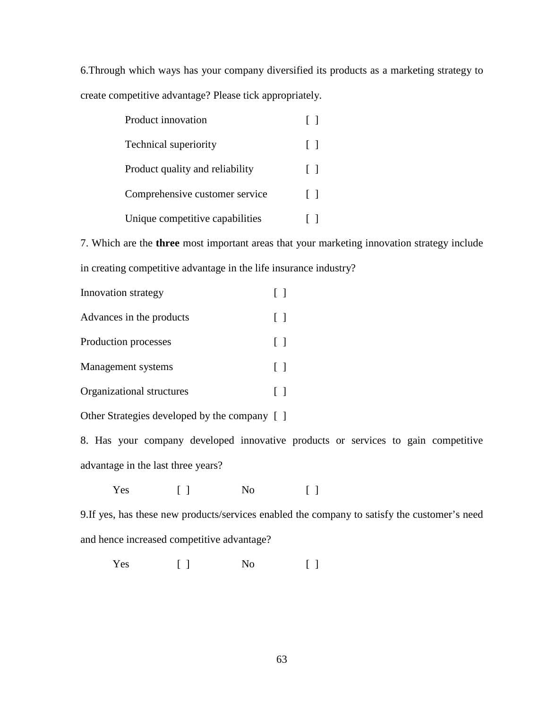6.Through which ways has your company diversified its products as a marketing strategy to create competitive advantage? Please tick appropriately.

| Product innovation              | $\mathbf{1}$ |
|---------------------------------|--------------|
| <b>Technical superiority</b>    | $\Box$       |
| Product quality and reliability | $\lceil$ 1   |
| Comprehensive customer service  | $\Box$       |
| Unique competitive capabilities |              |

7. Which are the **three** most important areas that your marketing innovation strategy include in creating competitive advantage in the life insurance industry?

| Innovation strategy       |         |
|---------------------------|---------|
| Advances in the products  | $\perp$ |
| Production processes      | $\Box$  |
| Management systems        | $\Box$  |
| Organizational structures |         |
|                           |         |

Other Strategies developed by the company [ ]

8. Has your company developed innovative products or services to gain competitive advantage in the last three years?

Yes [ ] No [ ]

9.If yes, has these new products/services enabled the company to satisfy the customer's need and hence increased competitive advantage?

Yes [ ] No [ ]